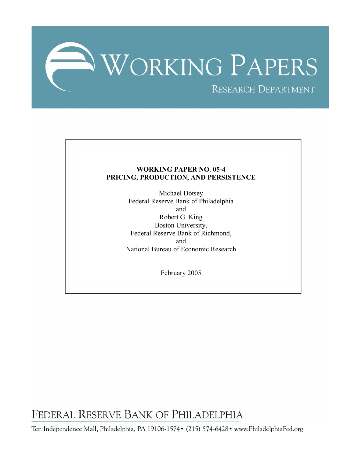

# **WORKING PAPER NO. 05-4 PRICING, PRODUCTION, AND PERSISTENCE**

Michael Dotsey Federal Reserve Bank of Philadelphia and Robert G. King Boston University, Federal Reserve Bank of Richmond, and National Bureau of Economic Research

February 2005

FEDERAL RESERVE BANK OF PHILADELPHIA

Ten Independence Mall, Philadelphia, PA 19106-1574• (215) 574-6428• www.PhiladelphiaFed.org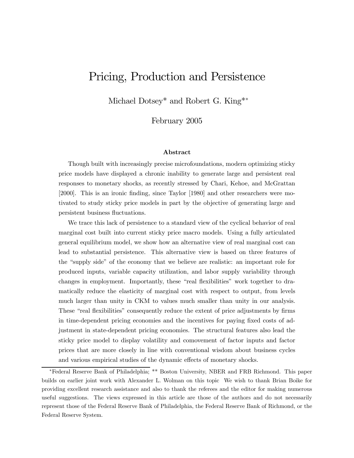# Pricing, Production and Persistence

Michael Dotsey<sup>\*</sup> and Robert G. King<sup>\*\*</sup>

February 2005

#### Abstract

Though built with increasingly precise microfoundations, modern optimizing sticky price models have displayed a chronic inability to generate large and persistent real responses to monetary shocks, as recently stressed by Chari, Kehoe, and McGrattan [2000]. This is an ironic finding, since Taylor [1980] and other researchers were motivated to study sticky price models in part by the objective of generating large and persistent business fluctuations.

We trace this lack of persistence to a standard view of the cyclical behavior of real marginal cost built into current sticky price macro models. Using a fully articulated general equilibrium model, we show how an alternative view of real marginal cost can lead to substantial persistence. This alternative view is based on three features of the "supply side" of the economy that we believe are realistic: an important role for produced inputs, variable capacity utilization, and labor supply variability through changes in employment. Importantly, these "real flexibilities" work together to dramatically reduce the elasticity of marginal cost with respect to output, from levels much larger than unity in CKM to values much smaller than unity in our analysis. These "real flexibilities" consequently reduce the extent of price adjustments by firms in time-dependent pricing economies and the incentives for paying fixed costs of adjustment in state-dependent pricing economies. The structural features also lead the sticky price model to display volatility and comovement of factor inputs and factor prices that are more closely in line with conventional wisdom about business cycles and various empirical studies of the dynamic effects of monetary shocks.

<sup>∗</sup>Federal Reserve Bank of Philadelphia; \*\* Boston University, NBER and FRB Richmond. This paper builds on earlier joint work with Alexander L. Wolman on this topic We wish to thank Brian Boike for providing excellent research assistance and also to thank the referees and the editor for making numerous useful suggestions. The views expressed in this article are those of the authors and do not necessarily represent those of the Federal Reserve Bank of Philadelphia, the Federal Reserve Bank of Richmond, or the Federal Reserve System.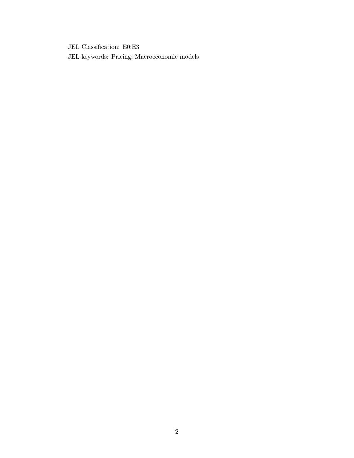JEL Classification: E0;E3

JEL keywords: Pricing; Macroeconomic models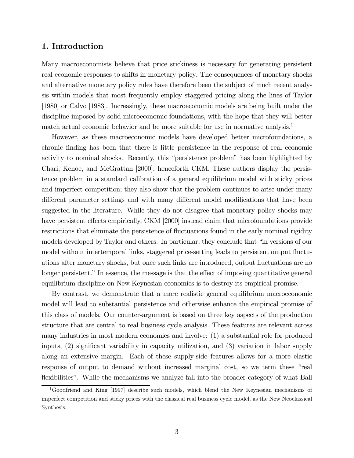## 1. Introduction

Many macroeconomists believe that price stickiness is necessary for generating persistent real economic responses to shifts in monetary policy. The consequences of monetary shocks and alternative monetary policy rules have therefore been the subject of much recent analysis within models that most frequently employ staggered pricing along the lines of Taylor [1980] or Calvo [1983]. Increasingly, these macroeconomic models are being built under the discipline imposed by solid microeconomic foundations, with the hope that they will better match actual economic behavior and be more suitable for use in normative analysis.<sup>1</sup>

However, as these macroeconomic models have developed better microfoundations, a chronic finding has been that there is little persistence in the response of real economic activity to nominal shocks. Recently, this "persistence problem" has been highlighted by Chari, Kehoe, and McGrattan [2000], henceforth CKM. These authors display the persistence problem in a standard calibration of a general equilibrium model with sticky prices and imperfect competition; they also show that the problem continues to arise under many different parameter settings and with many different model modifications that have been suggested in the literature. While they do not disagree that monetary policy shocks may have persistent effects empirically, CKM [2000] instead claim that microfoundations provide restrictions that eliminate the persistence of fluctuations found in the early nominal rigidity models developed by Taylor and others. In particular, they conclude that "in versions of our model without intertemporal links, staggered price-setting leads to persistent output fluctuations after monetary shocks, but once such links are introduced, output fluctuations are no longer persistent." In essence, the message is that the effect of imposing quantitative general equilibrium discipline on New Keynesian economics is to destroy its empirical promise.

By contrast, we demonstrate that a more realistic general equilibrium macroeconomic model will lead to substantial persistence and otherwise enhance the empirical promise of this class of models. Our counter-argument is based on three key aspects of the production structure that are central to real business cycle analysis. These features are relevant across many industries in most modern economies and involve: (1) a substantial role for produced inputs, (2) significant variability in capacity utilization, and (3) variation in labor supply along an extensive margin. Each of these supply-side features allows for a more elastic response of output to demand without increased marginal cost, so we term these "real flexibilities". While the mechanisms we analyze fall into the broader category of what Ball

<sup>&</sup>lt;sup>1</sup>Goodfriend and King [1997] describe such models, which blend the New Keynesian mechanisms of imperfect competition and sticky prices with the classical real business cycle model, as the New Neoclassical Synthesis.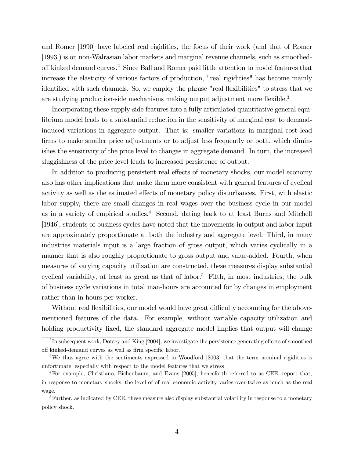and Romer [1990] have labeled real rigidities, the focus of their work (and that of Romer [1993]) is on non-Walrasian labor markets and marginal revenue channels, such as smoothedoff kinked demand curves.2 Since Ball and Romer paid little attention to model features that increase the elasticity of various factors of production, "real rigidities" has become mainly identified with such channels. So, we employ the phrase "real flexibilities" to stress that we are studying production-side mechanisms making output adjustment more flexible.<sup>3</sup>

Incorporating these supply-side features into a fully articulated quantitative general equilibrium model leads to a substantial reduction in the sensitivity of marginal cost to demandinduced variations in aggregate output. That is: smaller variations in marginal cost lead firms to make smaller price adjustments or to adjust less frequently or both, which diminishes the sensitivity of the price level to changes in aggregate demand. In turn, the increased sluggishness of the price level leads to increased persistence of output.

In addition to producing persistent real effects of monetary shocks, our model economy also has other implications that make them more consistent with general features of cyclical activity as well as the estimated effects of monetary policy disturbances. First, with elastic labor supply, there are small changes in real wages over the business cycle in our model as in a variety of empirical studies.<sup>4</sup> Second, dating back to at least Burns and Mitchell [1946], students of business cycles have noted that the movements in output and labor input are approximately proportionate at both the industry and aggregate level. Third, in many industries materials input is a large fraction of gross output, which varies cyclically in a manner that is also roughly proportionate to gross output and value-added. Fourth, when measures of varying capacity utilization are constructed, these measures display substantial cyclical variability, at least as great as that of labor.<sup>5</sup> Fifth, in most industries, the bulk of business cycle variations in total man-hours are accounted for by changes in employment rather than in hours-per-worker.

Without real flexibilities, our model would have great difficulty accounting for the abovementioned features of the data. For example, without variable capacity utilization and holding productivity fixed, the standard aggregate model implies that output will change

<sup>&</sup>lt;sup>2</sup>In subsequent work, Dotsey and King [2004], we investigate the persistence generating effects of smoothed off kinked-demand curves as well as firm specific labor.

<sup>3</sup>We thus agree with the sentiments expressed in Woodford [2003] that the term nominal rigidities is unfortunate, especially with respect to the model features that we stress

<sup>&</sup>lt;sup>4</sup>For example, Christiano, Eichenbaum, and Evans [2005], henceforth referred to as CEE, report that, in response to monetary shocks, the level of of real economic activity varies over twice as much as the real wage.

<sup>&</sup>lt;sup>5</sup>Further, as indicated by CEE, these measure also display substantial volatility in response to a monetary policy shock.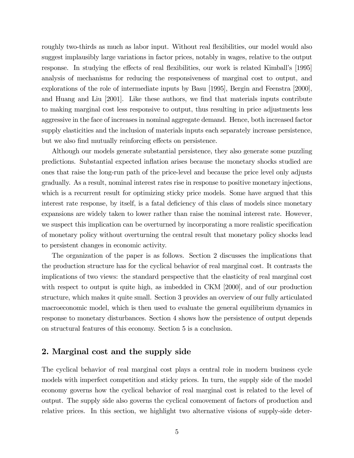roughly two-thirds as much as labor input. Without real flexibilities, our model would also suggest implausibly large variations in factor prices, notably in wages, relative to the output response. In studying the effects of real flexibilities, our work is related Kimball's [1995] analysis of mechanisms for reducing the responsiveness of marginal cost to output, and explorations of the role of intermediate inputs by Basu [1995], Bergin and Feenstra [2000], and Huang and Liu [2001]. Like these authors, we find that materials inputs contribute to making marginal cost less responsive to output, thus resulting in price adjustments less aggressive in the face of increases in nominal aggregate demand. Hence, both increased factor supply elasticities and the inclusion of materials inputs each separately increase persistence, but we also find mutually reinforcing effects on persistence.

Although our models generate substantial persistence, they also generate some puzzling predictions. Substantial expected inflation arises because the monetary shocks studied are ones that raise the long-run path of the price-level and because the price level only adjusts gradually. As a result, nominal interest rates rise in response to positive monetary injections, which is a recurrent result for optimizing sticky price models. Some have argued that this interest rate response, by itself, is a fatal deficiency of this class of models since monetary expansions are widely taken to lower rather than raise the nominal interest rate. However, we suspect this implication can be overturned by incorporating a more realistic specification of monetary policy without overturning the central result that monetary policy shocks lead to persistent changes in economic activity.

The organization of the paper is as follows. Section 2 discusses the implications that the production structure has for the cyclical behavior of real marginal cost. It contrasts the implications of two views: the standard perspective that the elasticity of real marginal cost with respect to output is quite high, as imbedded in CKM [2000], and of our production structure, which makes it quite small. Section 3 provides an overview of our fully articulated macroeconomic model, which is then used to evaluate the general equilibrium dynamics in response to monetary disturbances. Section 4 shows how the persistence of output depends on structural features of this economy. Section 5 is a conclusion.

### 2. Marginal cost and the supply side

The cyclical behavior of real marginal cost plays a central role in modern business cycle models with imperfect competition and sticky prices. In turn, the supply side of the model economy governs how the cyclical behavior of real marginal cost is related to the level of output. The supply side also governs the cyclical comovement of factors of production and relative prices. In this section, we highlight two alternative visions of supply-side deter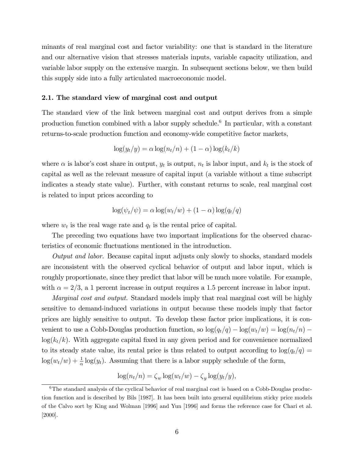minants of real marginal cost and factor variability: one that is standard in the literature and our alternative vision that stresses materials inputs, variable capacity utilization, and variable labor supply on the extensive margin. In subsequent sections below, we then build this supply side into a fully articulated macroeconomic model.

#### 2.1. The standard view of marginal cost and output

The standard view of the link between marginal cost and output derives from a simple production function combined with a labor supply schedule.6 In particular, with a constant returns-to-scale production function and economy-wide competitive factor markets,

$$
\log(y_t/y) = \alpha \log(n_t/n) + (1 - \alpha) \log(k_t/k)
$$

where  $\alpha$  is labor's cost share in output,  $y_t$  is output,  $n_t$  is labor input, and  $k_t$  is the stock of capital as well as the relevant measure of capital input (a variable without a time subscript indicates a steady state value). Further, with constant returns to scale, real marginal cost is related to input prices according to

$$
\log(\psi_t/\psi) = \alpha \log(w_t/w) + (1 - \alpha) \log(q_t/q)
$$

where  $w_t$  is the real wage rate and  $q_t$  is the rental price of capital.

The preceding two equations have two important implications for the observed characteristics of economic fluctuations mentioned in the introduction.

Output and labor. Because capital input adjusts only slowly to shocks, standard models are inconsistent with the observed cyclical behavior of output and labor input, which is roughly proportionate, since they predict that labor will be much more volatile. For example, with  $\alpha = 2/3$ , a 1 percent increase in output requires a 1.5 percent increase in labor input.

*Marginal cost and output.* Standard models imply that real marginal cost will be highly sensitive to demand-induced variations in output because these models imply that factor prices are highly sensitive to output. To develop these factor price implications, it is convenient to use a Cobb-Douglas production function, so  $\log(q_t/q) - \log(w_t/w) = \log(n_t/n)$  $log(k_t/k)$ . With aggregate capital fixed in any given period and for convenience normalized to its steady state value, its rental price is thus related to output according to  $\log(q_t/q)$  =  $log(w_t/w) + \frac{1}{\alpha} log(y_t)$ . Assuming that there is a labor supply schedule of the form,

$$
\log(n_t/n) = \zeta_w \log(w_t/w) - \zeta_y \log(y_t/y),
$$

 $6$ The standard analysis of the cyclical behavior of real marginal cost is based on a Cobb-Douglas production function and is described by Bils [1987]. It has been built into general equilibrium sticky price models of the Calvo sort by King and Wolman [1996] and Yun [1996] and forms the reference case for Chari et al. [2000].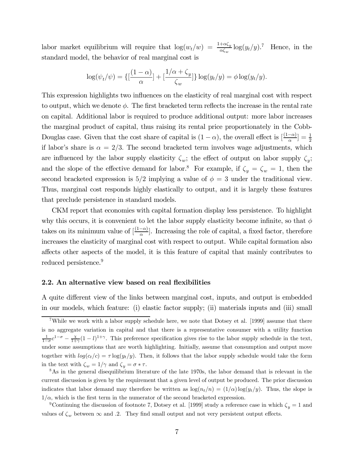labor market equilibrium will require that  $\log(w_t/w) = \frac{1+\alpha\zeta_y}{\alpha\zeta_w} \log(y_t/y)$ .<sup>7</sup> Hence, in the standard model, the behavior of real marginal cost is

$$
\log(\psi_t/\psi) = \left\{ \left[ \frac{(1-\alpha)}{\alpha} \right] + \left[ \frac{1/\alpha + \zeta_y}{\zeta_w} \right] \right\} \log(y_t/y) = \phi \log(y_t/y).
$$

This expression highlights two influences on the elasticity of real marginal cost with respect to output, which we denote  $\phi$ . The first bracketed term reflects the increase in the rental rate on capital. Additional labor is required to produce additional output: more labor increases the marginal product of capital, thus raising its rental price proportionately in the Cobb-Douglas case. Given that the cost share of capital is  $(1 - \alpha)$ , the overall effect is  $\left[\frac{(1 - \alpha)}{\alpha}\right] = \frac{1}{2}$ if labor's share is  $\alpha = 2/3$ . The second bracketed term involves wage adjustments, which are influenced by the labor supply elasticity  $\zeta_w$ ; the effect of output on labor supply  $\zeta_v$ ; and the slope of the effective demand for labor.<sup>8</sup> For example, if  $\zeta_y = \zeta_w = 1$ , then the second bracketed expression is  $5/2$  implying a value of  $\phi = 3$  under the traditional view. Thus, marginal cost responds highly elastically to output, and it is largely these features that preclude persistence in standard models.

CKM report that economies with capital formation display less persistence. To highlight why this occurs, it is convenient to let the labor supply elasticity become infinite, so that  $\phi$ takes on its minimum value of  $\left[\frac{(1-\alpha)}{\alpha}\right]$ . Increasing the role of capital, a fixed factor, therefore increases the elasticity of marginal cost with respect to output. While capital formation also affects other aspects of the model, it is this feature of capital that mainly contributes to reduced persistence.<sup>9</sup>

#### 2.2. An alternative view based on real flexibilities

A quite different view of the links between marginal cost, inputs, and output is embedded in our models, which feature: (i) elastic factor supply; (ii) materials inputs and (iii) small

<sup>&</sup>lt;sup>7</sup>While we work with a labor supply schedule here, we note that Dotsey et al. [1999] assume that there is no aggregate variation in capital and that there is a representative consumer with a utility function  $\frac{1}{1-\sigma}c^{1-\sigma} - \frac{\chi}{1+\gamma}(1-l)^{1+\gamma}$ . This preference specification gives rise to the labor supply schedule in the text, under some assumptions that are worth highlighting. Initially, assume that consumption and output move together with  $log(c_t/c) = \tau log(y_t/y)$ . Then, it follows that the labor supply schedule would take the form

in the text with  $\zeta_w = 1/\gamma$  and  $\zeta_y = \sigma * \tau$ .<br><sup>8</sup>As in the general disequilibrium literature of the late 1970s, the labor demand that is relevant in the current discussion is given by the requirement that a given level of output be produced. The prior discussion indicates that labor demand may therefore be written as  $\log(n_t/n) = (1/\alpha) \log(n_t/\gamma)$ . Thus, the slope is  $1/\alpha$ , which is the first term in the numerator of the second bracketed expression.

<sup>&</sup>lt;sup>9</sup>Continuing the discussion of footnote 7, Dotsey et al. [1999] study a reference case in which  $\zeta_u = 1$  and values of  $\zeta_w$  between  $\infty$  and .2. They find small output and not very persistent output effects.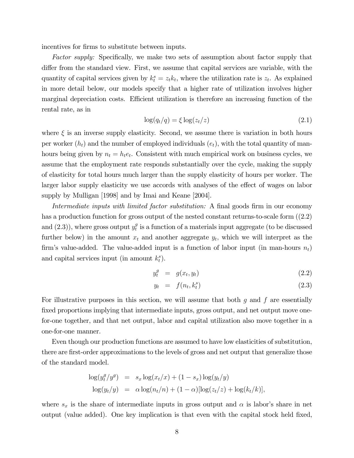incentives for firms to substitute between inputs.

Factor supply: Specifically, we make two sets of assumption about factor supply that differ from the standard view. First, we assume that capital services are variable, with the quantity of capital services given by  $k_t^s = z_t k_t$ , where the utilization rate is  $z_t$ . As explained in more detail below, our models specify that a higher rate of utilization involves higher marginal depreciation costs. Efficient utilization is therefore an increasing function of the rental rate, as in

$$
\log(q_t/q) = \xi \log(z_t/z) \tag{2.1}
$$

where  $\xi$  is an inverse supply elasticity. Second, we assume there is variation in both hours per worker  $(h_t)$  and the number of employed individuals  $(e_t)$ , with the total quantity of manhours being given by  $n_t = h_t e_t$ . Consistent with much empirical work on business cycles, we assume that the employment rate responds substantially over the cycle, making the supply of elasticity for total hours much larger than the supply elasticity of hours per worker. The larger labor supply elasticity we use accords with analyses of the effect of wages on labor supply by Mulligan [1998] and by Imai and Keane [2004].

Intermediate inputs with limited factor substitution: A final goods firm in our economy has a production function for gross output of the nested constant returns-to-scale form  $(2.2)$ and  $(2.3)$ ), where gross output  $y_t^g$  is a function of a materials input aggregate (to be discussed further below) in the amount  $x_t$  and another aggregate  $y_t$ , which we will interpret as the firm's value-added. The value-added input is a function of labor input (in man-hours  $n_t$ ) and capital services input (in amount  $k_t^s$ ).

$$
y_t^g = g(x_t, y_t) \tag{2.2}
$$

$$
y_t = f(n_t, k_t^s) \tag{2.3}
$$

For illustrative purposes in this section, we will assume that both  $g$  and  $f$  are essentially fixed proportions implying that intermediate inputs, gross output, and net output move onefor-one together, and that net output, labor and capital utilization also move together in a one-for-one manner.

Even though our production functions are assumed to have low elasticities of substitution, there are first-order approximations to the levels of gross and net output that generalize those of the standard model.

$$
\log(y_t^g/y^g) = s_x \log(x_t/x) + (1 - s_x) \log(y_t/y)
$$
  

$$
\log(y_t/y) = \alpha \log(n_t/n) + (1 - \alpha) [\log(z_t/z) + \log(k_t/k)],
$$

where  $s_x$  is the share of intermediate inputs in gross output and  $\alpha$  is labor's share in net output (value added). One key implication is that even with the capital stock held fixed,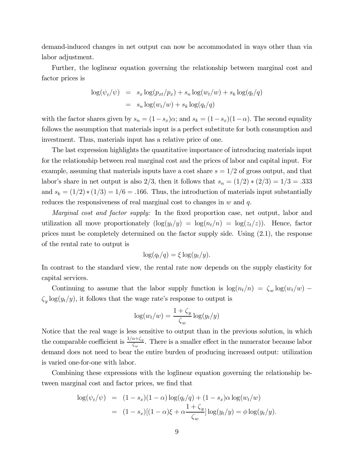demand-induced changes in net output can now be accommodated in ways other than via labor adjustment.

Further, the loglinear equation governing the relationship between marginal cost and factor prices is

$$
\log(\psi_t/\psi) = s_x \log(p_{xt}/p_x) + s_n \log(w_t/w) + s_k \log(q_t/q)
$$

$$
= s_n \log(w_t/w) + s_k \log(q_t/q)
$$

with the factor shares given by  $s_n = (1-s_x)\alpha$ ; and  $s_k = (1-s_x)(1-\alpha)$ . The second equality follows the assumption that materials input is a perfect substitute for both consumption and investment. Thus, materials input has a relative price of one.

The last expression highlights the quantitative importance of introducing materials input for the relationship between real marginal cost and the prices of labor and capital input. For example, assuming that materials inputs have a cost share  $s = 1/2$  of gross output, and that labor's share in net output is also 2/3, then it follows that  $s_n = (1/2) * (2/3) = 1/3 = .333$ and  $s_k = (1/2) * (1/3) = 1/6 = .166$ . Thus, the introduction of materials input substantially reduces the responsiveness of real marginal cost to changes in  $w$  and  $q$ .

Marginal cost and factor supply: In the fixed proportion case, net output, labor and utilization all move proportionately  $(\log(y_t/y) = \log(n_t/n) = \log(z_t/z))$ . Hence, factor prices must be completely determined on the factor supply side. Using (2.1), the response of the rental rate to output is

$$
\log(q_t/q) = \xi \log(y_t/y).
$$

In contrast to the standard view, the rental rate now depends on the supply elasticity for capital services.

Continuing to assume that the labor supply function is  $\log(n_t/n) = \zeta_w \log(w_t/w)$  –  $\zeta_y \log(y_t/y)$ , it follows that the wage rate's response to output is

$$
\log(w_t/w) = \frac{1+\zeta_y}{\zeta_w} \log(y_t/y)
$$

Notice that the real wage is less sensitive to output than in the previous solution, in which the comparable coefficient is  $\frac{1/\alpha+\zeta_y}{\zeta_w}$ . There is a smaller effect in the numerator because labor demand does not need to bear the entire burden of producing increased output: utilization is varied one-for-one with labor.

Combining these expressions with the loglinear equation governing the relationship between marginal cost and factor prices, we find that

$$
\log(\psi_t/\psi) = (1 - s_x)(1 - \alpha) \log(q_t/q) + (1 - s_x)\alpha \log(w_t/w)
$$
  
= 
$$
(1 - s_x)[(1 - \alpha)\xi + \alpha \frac{1 + \zeta_y}{\zeta_w}] \log(y_t/y) = \phi \log(y_t/y).
$$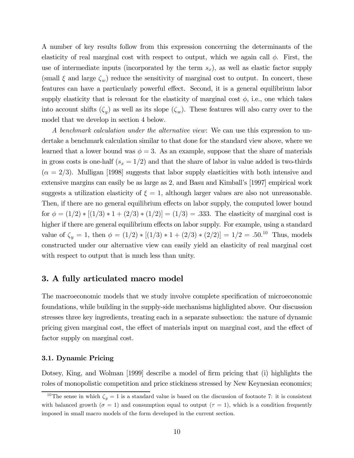A number of key results follow from this expression concerning the determinants of the elasticity of real marginal cost with respect to output, which we again call  $\phi$ . First, the use of intermediate inputs (incorporated by the term  $s_x$ ), as well as elastic factor supply (small  $\xi$  and large  $\zeta_w$ ) reduce the sensitivity of marginal cost to output. In concert, these features can have a particularly powerful effect. Second, it is a general equilibrium labor supply elasticity that is relevant for the elasticity of marginal cost  $\phi$ , i.e., one which takes into account shifts  $(\zeta_y)$  as well as its slope  $(\zeta_w)$ . These features will also carry over to the model that we develop in section 4 below.

A benchmark calculation under the alternative view: We can use this expression to undertake a benchmark calculation similar to that done for the standard view above, where we learned that a lower bound was  $\phi = 3$ . As an example, suppose that the share of materials in gross costs is one-half  $(s_x = 1/2)$  and that the share of labor in value added is two-thirds  $(\alpha = 2/3)$ . Mulligan [1998] suggests that labor supply elasticities with both intensive and extensive margins can easily be as large as 2, and Basu and Kimball's [1997] empirical work suggests a utilization elasticity of  $\xi = 1$ , although larger values are also not unreasonable. Then, if there are no general equilibrium effects on labor supply, the computed lower bound for  $\phi = (1/2) * [(1/3) * 1 + (2/3) * (1/2)] = (1/3) = .333$ . The elasticity of marginal cost is higher if there are general equilibrium effects on labor supply. For example, using a standard value of  $\zeta_y = 1$ , then  $\phi = (1/2) * [(1/3) * 1 + (2/3) * (2/2)] = 1/2 = .50^{10}$  Thus, models constructed under our alternative view can easily yield an elasticity of real marginal cost with respect to output that is much less than unity.

### 3. A fully articulated macro model

The macroeconomic models that we study involve complete specification of microeconomic foundations, while building in the supply-side mechanisms highlighted above. Our discussion stresses three key ingredients, treating each in a separate subsection: the nature of dynamic pricing given marginal cost, the effect of materials input on marginal cost, and the effect of factor supply on marginal cost.

#### 3.1. Dynamic Pricing

Dotsey, King, and Wolman [1999] describe a model of firm pricing that (i) highlights the roles of monopolistic competition and price stickiness stressed by New Keynesian economics;

<sup>&</sup>lt;sup>10</sup>The sense in which  $\zeta_y = 1$  is a standard value is based on the discussion of footnote 7: it is consistent with balanced growth  $(\sigma = 1)$  and consumption equal to output  $(\tau = 1)$ , which is a condition frequently imposed in small macro models of the form developed in the current section.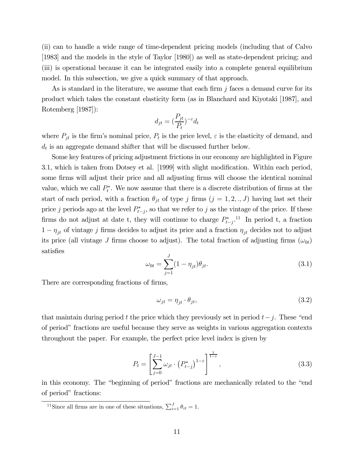(ii) can to handle a wide range of time-dependent pricing models (including that of Calvo [1983] and the models in the style of Taylor [1980]) as well as state-dependent pricing; and (iii) is operational because it can be integrated easily into a complete general equilibrium model. In this subsection, we give a quick summary of that approach.

As is standard in the literature, we assume that each firm  $j$  faces a demand curve for its product which takes the constant elasticity form (as in Blanchard and Kiyotaki [1987], and Rotemberg [1987]):

$$
d_{jt} = (\frac{P_{jt}}{P_t})^{-\varepsilon} d_t
$$

where  $P_{jt}$  is the firm's nominal price,  $P_t$  is the price level,  $\varepsilon$  is the elasticity of demand, and  $d_t$  is an aggregate demand shifter that will be discussed further below.

Some key features of pricing adjustment frictions in our economy are highlighted in Figure 3.1, which is taken from Dotsey et al. [1999] with slight modification. Within each period, some firms will adjust their price and all adjusting firms will choose the identical nominal value, which we call  $P_t^*$ . We now assume that there is a discrete distribution of firms at the start of each period, with a fraction  $\theta_{jt}$  of type j firms  $(j = 1, 2, ., J)$  having last set their price j periods ago at the level  $P_{t-j}^*$ , so that we refer to j as the vintage of the price. If these firms do not adjust at date t, they will continue to charge  $P_{t-j}^*$ .<sup>11</sup> In period t, a fraction  $1 - \eta_{jt}$  of vintage j firms decides to adjust its price and a fraction  $\eta_{jt}$  decides not to adjust its price (all vintage J firms choose to adjust). The total fraction of adjusting firms  $(\omega_{0t})$ satisfies

$$
\omega_{0t} = \sum_{j=1}^{J} (1 - \eta_{jt}) \theta_{jt}.
$$
\n(3.1)

There are corresponding fractions of firms,

$$
\omega_{jt} = \eta_{jt} \cdot \theta_{jt},\tag{3.2}
$$

that maintain during period t the price which they previously set in period  $t-j$ . These "end" of period" fractions are useful because they serve as weights in various aggregation contexts throughout the paper. For example, the perfect price level index is given by

$$
P_{t} = \left[\sum_{j=0}^{J-1} \omega_{jt} \cdot \left(P_{t-j}^{*}\right)^{1-\varepsilon}\right]^{\frac{1}{1-\varepsilon}},\tag{3.3}
$$

in this economy. The "beginning of period" fractions are mechanically related to the "end of period" fractions:

<sup>&</sup>lt;sup>11</sup>Since all firms are in one of these situations,  $\sum_{i=1}^{J} \theta_{it} = 1$ .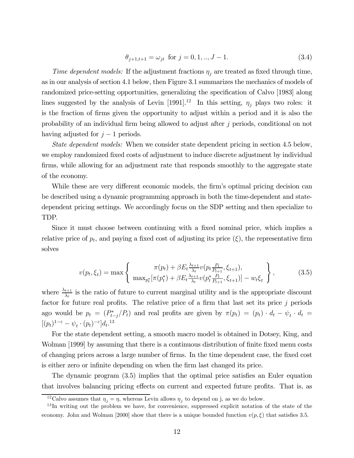$$
\theta_{j+1,t+1} = \omega_{jt} \text{ for } j = 0, 1, ..., J-1. \tag{3.4}
$$

Time dependent models: If the adjustment fractions  $\eta_j$  are treated as fixed through time, as in our analysis of section 4.1 below, then Figure 3.1 summarizes the mechanics of models of randomized price-setting opportunities, generalizing the specification of Calvo [1983] along lines suggested by the analysis of Levin [1991].<sup>12</sup> In this setting,  $\eta_i$  plays two roles: it is the fraction of firms given the opportunity to adjust within a period and it is also the probability of an individual firm being allowed to adjust after j periods, conditional on not having adjusted for  $j-1$  periods.

State dependent models: When we consider state dependent pricing in section 4.5 below, we employ randomized fixed costs of adjustment to induce discrete adjustment by individual firms, while allowing for an adjustment rate that responds smoothly to the aggregate state of the economy.

While these are very different economic models, the firm's optimal pricing decision can be described using a dynamic programming approach in both the time-dependent and statedependent pricing settings. We accordingly focus on the SDP setting and then specialize to TDP.

Since it must choose between continuing with a fixed nominal price, which implies a relative price of  $p_t$ , and paying a fixed cost of adjusting its price  $(\xi)$ , the representative firm solves

$$
v(p_t, \xi_t) = \max \left\{ \begin{array}{c} \pi(p_t) + \beta E_t \frac{\lambda_{t+1}}{\lambda_t} v(p_t \frac{P_t}{P_{t+1}}, \xi_{t+1}), \\ \max_{p_t^*} [\pi(p_t^*) + \beta E_t \frac{\lambda_{t+1}}{\lambda_t} v(p_t^* \frac{P_t}{P_{t+1}}, \xi_{t+1})] - w_t \xi_t \end{array} \right\},
$$
(3.5)

where  $\frac{\lambda_{t+1}}{\lambda_t}$  is the ratio of future to current marginal utility and is the appropriate discount factor for future real profits. The relative price of a firm that last set its price  $j$  periods ago would be  $p_t = (P_{t-j}^*/P_t)$  and real profits are given by  $\pi(p_t) = (p_t) \cdot d_t - \psi_t \cdot d_t =$  $[(p_t)^{1-\varepsilon} - \psi_t \cdot (p_t)^{-\varepsilon}]d_t$ <sup>13</sup>

For the state dependent setting, a smooth macro model is obtained in Dotsey, King, and Wolman [1999] by assuming that there is a continuous distribution of finite fixed menu costs of changing prices across a large number of firms. In the time dependent case, the fixed cost is either zero or infinite depending on when the firm last changed its price.

The dynamic program (3.5) implies that the optimal price satisfies an Euler equation that involves balancing pricing effects on current and expected future profits. That is, as

<sup>&</sup>lt;sup>12</sup>Calvo assumes that  $\eta_i = \eta$ , whereas Levin allows  $\eta_i$  to depend on j, as we do below.

<sup>&</sup>lt;sup>13</sup>In writing out the problem we have, for convenience, suppressed explicit notation of the state of the economy. John and Wolman [2000] show that there is a unique bounded function  $v(p, \xi)$  that satisfies 3.5.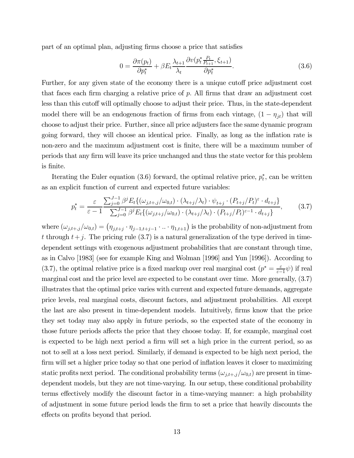part of an optimal plan, adjusting firms choose a price that satisfies

$$
0 = \frac{\partial \pi(p_t)}{\partial p_t^*} + \beta E_t \frac{\lambda_{t+1}}{\lambda_t} \frac{\partial v(p_t^* \frac{P_t}{P_{t+1}}, \xi_{t+1})}{\partial p_t^*}.
$$
\n(3.6)

Further, for any given state of the economy there is a unique cutoff price adjustment cost that faces each firm charging a relative price of  $p$ . All firms that draw an adjustment cost less than this cutoff will optimally choose to adjust their price. Thus, in the state-dependent model there will be an endogenous fraction of firms from each vintage,  $(1 - \eta_{it})$  that will choose to adjust their price. Further, since all price adjusters face the same dynamic program going forward, they will choose an identical price. Finally, as long as the inflation rate is non-zero and the maximum adjustment cost is finite, there will be a maximum number of periods that any firm will leave its price unchanged and thus the state vector for this problem is finite.

Iterating the Euler equation (3.6) forward, the optimal relative price,  $p_t^*$ , can be written as an explicit function of current and expected future variables:

$$
p_t^* = \frac{\varepsilon}{\varepsilon - 1} \frac{\sum_{j=0}^{J-1} \beta^j E_t \{ (\omega_{j,t+j}/\omega_{0,t}) \cdot (\lambda_{t+j}/\lambda_t) \cdot \psi_{t+j} \cdot (P_{t+j}/P_t)^{\varepsilon} \cdot d_{t+j} \}}{\sum_{j=0}^{J-1} \beta^j E_t \{ (\omega_{j,t+j}/\omega_{0,t}) \cdot (\lambda_{t+j}/\lambda_t) \cdot (P_{t+j}/P_t)^{\varepsilon - 1} \cdot d_{t+j} \}},
$$
(3.7)

where  $(\omega_{j,t+j}/\omega_{0,t}) = (\eta_{j,t+j} \cdot \eta_{j-1,t+j-1} \cdot ... \cdot \eta_{1,t+1})$  is the probability of non-adjustment from t through  $t+j$ . The pricing rule (3.7) is a natural generalization of the type derived in timedependent settings with exogenous adjustment probabilities that are constant through time, as in Calvo [1983] (see for example King and Wolman [1996] and Yun [1996]). According to (3.7), the optimal relative price is a fixed markup over real marginal cost  $(p^* = \frac{\varepsilon}{\varepsilon - 1}\psi)$  if real marginal cost and the price level are expected to be constant over time. More generally, (3.7) illustrates that the optimal price varies with current and expected future demands, aggregate price levels, real marginal costs, discount factors, and adjustment probabilities. All except the last are also present in time-dependent models. Intuitively, firms know that the price they set today may also apply in future periods, so the expected state of the economy in those future periods affects the price that they choose today. If, for example, marginal cost is expected to be high next period a firm will set a high price in the current period, so as not to sell at a loss next period. Similarly, if demand is expected to be high next period, the firm will set a higher price today so that one period of inflation leaves it closer to maximizing static profits next period. The conditional probability terms  $(\omega_{j,t+1}/\omega_{0,t})$  are present in timedependent models, but they are not time-varying. In our setup, these conditional probability terms effectively modify the discount factor in a time-varying manner: a high probability of adjustment in some future period leads the firm to set a price that heavily discounts the effects on profits beyond that period.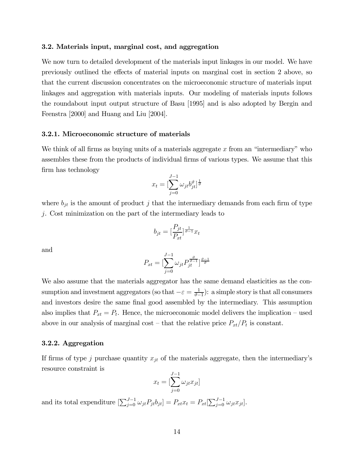#### 3.2. Materials input, marginal cost, and aggregation

We now turn to detailed development of the materials input linkages in our model. We have previously outlined the effects of material inputs on marginal cost in section 2 above, so that the current discussion concentrates on the microeconomic structure of materials input linkages and aggregation with materials inputs. Our modeling of materials inputs follows the roundabout input output structure of Basu [1995] and is also adopted by Bergin and Feenstra [2000] and Huang and Liu [2004].

#### 3.2.1. Microeconomic structure of materials

We think of all firms as buying units of a materials aggregate  $x$  from an "intermediary" who assembles these from the products of individual firms of various types. We assume that this firm has technology

$$
x_t = [\sum_{j=0}^{J-1} \omega_{jt} b_{jt}^{\vartheta}]^{\frac{1}{\vartheta}}
$$

where  $b_{jt}$  is the amount of product j that the intermediary demands from each firm of type j. Cost minimization on the part of the intermediary leads to

$$
b_{jt} = \left[\frac{P_{jt}}{P_{xt}}\right]^{\frac{1}{\vartheta - 1}} x_t
$$

and

$$
P_{xt}=[\sum_{j=0}^{J-1}\omega_{jt}P_{jt}^{\frac{\vartheta}{\vartheta-1}}]^{\frac{\vartheta-1}{\vartheta}}
$$

We also assume that the materials aggregator has the same demand elasticities as the consumption and investment aggregators (so that  $-\varepsilon = \frac{1}{\vartheta - 1}$ ): a simple story is that all consumers and investors desire the same final good assembled by the intermediary. This assumption also implies that  $P_{xt} = P_t$ . Hence, the microeconomic model delivers the implication – used above in our analysis of marginal cost – that the relative price  $P_{xt}/P_t$  is constant.

#### 3.2.2. Aggregation

If firms of type j purchase quantity  $x_{jt}$  of the materials aggregate, then the intermediary's resource constraint is

$$
x_t = \left[\sum_{j=0}^{J-1} \omega_{jt} x_{jt}\right]
$$

and its total expenditure  $\left[\sum_{j=0}^{J-1} \omega_{jt} P_{jt} b_{jt}\right] = P_{xt} x_t = P_{xt} \left[\sum_{j=0}^{J-1} \omega_{jt} x_{jt}\right]$ .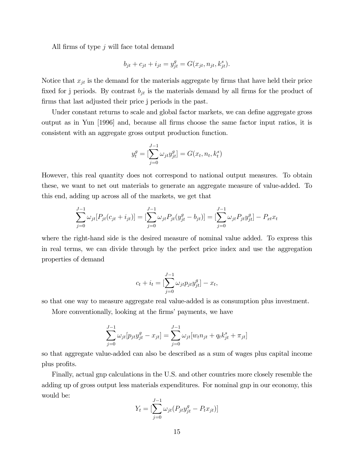All firms of type j will face total demand

$$
b_{jt} + c_{jt} + i_{jt} = y_{jt}^{g} = G(x_{jt}, n_{jt}, k_{jt}^{s}).
$$

Notice that  $x_{jt}$  is the demand for the materials aggregate by firms that have held their price fixed for j periods. By contrast  $b_{jt}$  is the materials demand by all firms for the product of firms that last adjusted their price j periods in the past.

Under constant returns to scale and global factor markets, we can define aggregate gross output as in Yun [1996] and, because all firms choose the same factor input ratios, it is consistent with an aggregate gross output production function.

$$
y_t^g = [\sum_{j=0}^{J-1} \omega_{jt} y_{jt}^g] = G(x_t, n_t, k_t^s)
$$

However, this real quantity does not correspond to national output measures. To obtain these, we want to net out materials to generate an aggregate measure of value-added. To this end, adding up across all of the markets, we get that

$$
\sum_{j=0}^{J-1} \omega_{jt} [P_{jt}(c_{jt} + i_{jt})] = \left[ \sum_{j=0}^{J-1} \omega_{jt} P_{jt}(y_{jt}^g - b_{jt}) \right] = \left[ \sum_{j=0}^{J-1} \omega_{jt} P_{jt} y_{jt}^g \right] - P_{xt} x_t
$$

where the right-hand side is the desired measure of nominal value added. To express this in real terms, we can divide through by the perfect price index and use the aggregation properties of demand

$$
c_t + i_t = [\sum_{j=0}^{J-1} \omega_{jt} p_{jt} y_{jt}^g] - x_t,
$$

so that one way to measure aggregate real value-added is as consumption plus investment.

More conventionally, looking at the firms' payments, we have

$$
\sum_{j=0}^{J-1} \omega_{jt} [p_{jt} y_{jt}^g - x_{jt}] = \sum_{j=0}^{J-1} \omega_{jt} [w_t n_{jt} + q_t k_{jt}^s + \pi_{jt}]
$$

so that aggregate value-added can also be described as a sum of wages plus capital income plus profits.

Finally, actual gnp calculations in the U.S. and other countries more closely resemble the adding up of gross output less materials expenditures. For nominal gnp in our economy, this would be:

$$
Y_{t} = \left[\sum_{j=0}^{J-1} \omega_{jt} (P_{jt} y_{jt}^{g} - P_{t} x_{jt})\right]
$$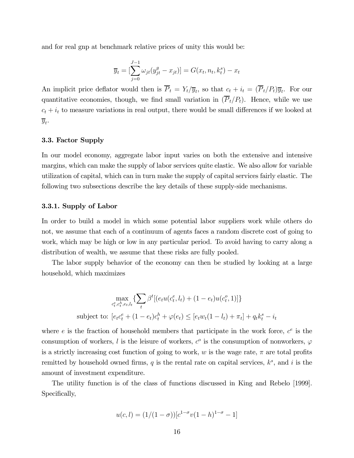and for real gnp at benchmark relative prices of unity this would be:

$$
\overline{y}_t = \left[\sum_{j=0}^{J-1} \omega_{jt}(y_{jt}^g - x_{jt})\right] = G(x_t, n_t, k_t^s) - x_t
$$

An implicit price deflator would then is  $\overline{P}_t = Y_t/\overline{y}_t$ , so that  $c_t + i_t = (\overline{P}_t/P_t)\overline{y}_t$ . For our quantitative economies, though, we find small variation in  $(\overline{P}_t/P_t)$ . Hence, while we use  $c_t + i_t$  to measure variations in real output, there would be small differences if we looked at  $\overline{y}_t$ .

#### 3.3. Factor Supply

In our model economy, aggregate labor input varies on both the extensive and intensive margins, which can make the supply of labor services quite elastic. We also allow for variable utilization of capital, which can in turn make the supply of capital services fairly elastic. The following two subsections describe the key details of these supply-side mechanisms.

#### 3.3.1. Supply of Labor

In order to build a model in which some potential labor suppliers work while others do not, we assume that each of a continuum of agents faces a random discrete cost of going to work, which may be high or low in any particular period. To avoid having to carry along a distribution of wealth, we assume that these risks are fully pooled.

The labor supply behavior of the economy can then be studied by looking at a large household, which maximizes

$$
\max_{c_t^e, c_t^h, e_t, l_t} \{ \sum_t \beta^t [(e_t u(c_t^e, l_t) + (1 - e_t) u(c_t^o, 1)] \}
$$
\nsubject to: 
$$
[e_t c_t^e + (1 - e_t) c_t^h + \varphi(e_t) \leq [e_t w_t (1 - l_t) + \pi_t] + q_t k_t^s - i_t
$$

where e is the fraction of household members that participate in the work force,  $c^e$  is the consumption of workers, l is the leisure of workers,  $c^{\circ}$  is the consumption of nonworkers,  $\varphi$ is a strictly increasing cost function of going to work, w is the wage rate,  $\pi$  are total profits remitted by household owned firms, q is the rental rate on capital services,  $k^s$ , and i is the amount of investment expenditure.

The utility function is of the class of functions discussed in King and Rebelo [1999]. Specifically,

$$
u(c, l) = (1/(1 - \sigma))[c^{1-\sigma}v(1-h)^{1-\sigma} - 1]
$$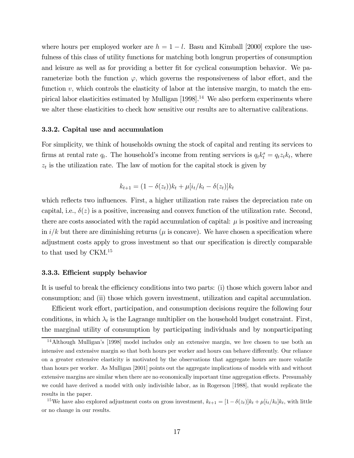where hours per employed worker are  $h = 1 - l$ . Basu and Kimball [2000] explore the usefulness of this class of utility functions for matching both longrun properties of consumption and leisure as well as for providing a better fit for cyclical consumption behavior. We parameterize both the function  $\varphi$ , which governs the responsiveness of labor effort, and the function  $v$ , which controls the elasticity of labor at the intensive margin, to match the empirical labor elasticities estimated by Mulligan  $[1998]$ .<sup>14</sup> We also perform experiments where we alter these elasticities to check how sensitive our results are to alternative calibrations.

#### 3.3.2. Capital use and accumulation

For simplicity, we think of households owning the stock of capital and renting its services to firms at rental rate  $q_t$ . The household's income from renting services is  $q_t k_t^s = q_t z_t k_t$ , where  $z_t$  is the utilization rate. The law of motion for the capital stock is given by

$$
k_{t+1} = (1 - \delta(z_t))k_t + \mu[i_t/k_t - \delta(z_t)]k_t
$$

which reflects two influences. First, a higher utilization rate raises the depreciation rate on capital, i.e.,  $\delta(z)$  is a positive, increasing and convex function of the utilization rate. Second, there are costs associated with the rapid accumulation of capital:  $\mu$  is positive and increasing in  $i/k$  but there are diminishing returns ( $\mu$  is concave). We have chosen a specification where adjustment costs apply to gross investment so that our specification is directly comparable to that used by CKM.15

#### 3.3.3. Efficient supply behavior

It is useful to break the efficiency conditions into two parts: (i) those which govern labor and consumption; and (ii) those which govern investment, utilization and capital accumulation.

Efficient work effort, participation, and consumption decisions require the following four conditions, in which  $\lambda_t$  is the Lagrange multiplier on the household budget constraint. First, the marginal utility of consumption by participating individuals and by nonparticipating

<sup>15</sup>We have also explored adjustment costs on gross investment,  $k_{t+1} = [1 - \delta(z_t)]k_t + \mu[i_t/k_t]k_t$ , with little or no change in our results.

<sup>&</sup>lt;sup>14</sup>Although Mulligan's [1998] model includes only an extensive margin, we hve chosen to use both an intensive and extensive margin so that both hours per worker and hours can behave differently. Our reliance on a greater extensive elasticity is motivated by the observations that aggregate hours are more volatile than hours per worker. As Mulligan [2001] points out the aggregate implications of models with and without extensive margins are similar when there are no economically important time aggregation effects. Presumably we could have derived a model with only indivisible labor, as in Rogerson [1988], that would replicate the results in the paper.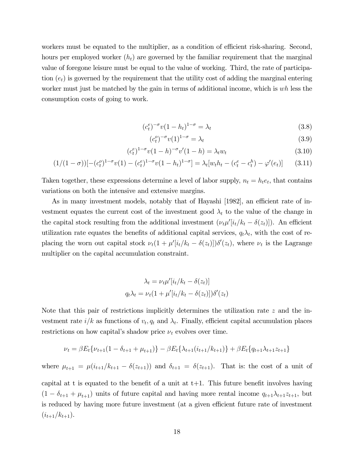workers must be equated to the multiplier, as a condition of efficient risk-sharing. Second, hours per employed worker  $(h_t)$  are governed by the familiar requirement that the marginal value of foregone leisure must be equal to the value of working. Third, the rate of participation  $(e_t)$  is governed by the requirement that the utility cost of adding the marginal entering worker must just be matched by the gain in terms of additional income, which is wh less the consumption costs of going to work.

$$
(c_t^e)^{-\sigma} v (1 - h_t)^{1 - \sigma} = \lambda_t \tag{3.8}
$$

$$
(c_t^o)^{-\sigma} v(1)^{1-\sigma} = \lambda_t \tag{3.9}
$$

$$
(c_t^e)^{1-\sigma}v(1-h)^{-\sigma}v'(1-h) = \lambda_t w_t \tag{3.10}
$$

$$
(1/(1-\sigma))[-(c_t^o)^{1-\sigma}v(1)-(c_t^e)^{1-\sigma}v(1-h_t)^{1-\sigma}] = \lambda_t[w_th_t - (c_t^e - c_t^h) - \varphi'(e_t)] \tag{3.11}
$$

Taken together, these expressions determine a level of labor supply,  $n_t = h_t e_t$ , that contains variations on both the intensive and extensive margins.

As in many investment models, notably that of Hayashi [1982], an efficient rate of investment equates the current cost of the investment good  $\lambda_t$  to the value of the change in the capital stock resulting from the additional investment  $(\nu_t \mu'[i_t/k_t - \delta(z_t)])$ . An efficient utilization rate equates the benefits of additional capital services,  $q_t\lambda_t$ , with the cost of replacing the worn out capital stock  $\nu_t(1 + \mu'[i_t/k_t - \delta(z_t)])\delta'(z_t)$ , where  $\nu_t$  is the Lagrange multiplier on the capital accumulation constraint.

$$
\lambda_t = \nu_t \mu'[i_t/k_t - \delta(z_t)]
$$
  

$$
q_t \lambda_t = \nu_t (1 + \mu'[i_t/k_t - \delta(z_t)]) \delta'(z_t)
$$

Note that this pair of restrictions implicitly determines the utilization rate z and the investment rate  $i/k$  as functions of  $v_t, q_t$  and  $\lambda_t$ . Finally, efficient capital accumulation places restrictions on how capital's shadow price  $\nu_t$  evolves over time.

$$
\nu_t = \beta E_t \{ \nu_{t+1} (1 - \delta_{t+1} + \mu_{t+1}) \} - \beta E_t \{ \lambda_{t+1} (i_{t+1}/k_{t+1}) \} + \beta E_t \{ q_{t+1} \lambda_{t+1} z_{t+1} \}
$$

where  $\mu_{t+1} = \mu(i_{t+1}/k_{t+1} - \delta(z_{t+1}))$  and  $\delta_{t+1} = \delta(z_{t+1})$ . That is: the cost of a unit of

capital at t is equated to the benefit of a unit at  $t+1$ . This future benefit involves having  $(1 - \delta_{t+1} + \mu_{t+1})$  units of future capital and having more rental income  $q_{t+1}\lambda_{t+1}z_{t+1}$ , but is reduced by having more future investment (at a given efficient future rate of investment  $(i_{t+1}/k_{t+1}).$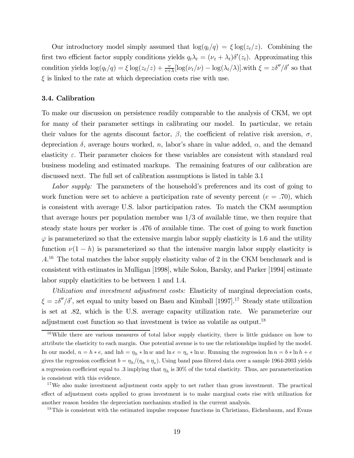Our introductory model simply assumed that  $\log(q_t/q) = \xi \log(z_t/z)$ . Combining the first two efficient factor supply conditions yields  $q_t\lambda_t = (\nu_t + \lambda_t)\delta'(z_t)$ . Approximating this condition yields  $\log(q_t/q) = \xi \log(z_t/z) + \frac{v}{v+\lambda} [\log(v_t/\nu) - \log(\lambda_t/\lambda)]$ .with  $\xi = z\delta''/\delta'$  so that  $\xi$  is linked to the rate at which depreciation costs rise with use.

#### 3.4. Calibration

To make our discussion on persistence readily comparable to the analysis of CKM, we opt for many of their parameter settings in calibrating our model. In particular, we retain their values for the agents discount factor,  $\beta$ , the coefficient of relative risk aversion,  $\sigma$ , depreciation  $\delta$ , average hours worked, n, labor's share in value added,  $\alpha$ , and the demand elasticity  $\varepsilon$ . Their parameter choices for these variables are consistent with standard real business modeling and estimated markups. The remaining features of our calibration are discussed next. The full set of calibration assumptions is listed in table 3.1

Labor supply: The parameters of the household's preferences and its cost of going to work function were set to achieve a participation rate of seventy percent  $(e = .70)$ , which is consistent with average U.S. labor participation rates. To match the CKM assumption that average hours per population member was  $1/3$  of available time, we then require that steady state hours per worker is .476 of available time. The cost of going to work function  $\varphi$  is parameterized so that the extensive margin labor supply elasticity is 1.6 and the utility function  $\nu(1-h)$  is parameterized so that the intensive margin labor supply elasticity is .4.16 The total matches the labor supply elasticity value of 2 in the CKM benchmark and is consistent with estimates in Mulligan [1998], while Solon, Barsky, and Parker [1994] estimate labor supply elasticities to be between 1 and 1.4.

Utilization and investment adjustment costs: Elasticity of marginal depreciation costs,  $\xi = z\delta''/\delta'$ , set equal to unity based on Basu and Kimball [1997].<sup>17</sup> Steady state utilization is set at .82, which is the U.S. average capacity utilization rate. We parameterize our adjustment cost function so that investment is twice as volatile as output.<sup>18</sup>

<sup>&</sup>lt;sup>16</sup>While there are various measures of total labor supply elasticity, there is little guidance on how to attribute the elasticity to each margin. One potential avenue is to use the relationships implied by the model. In our model,  $n = h * e$ , and  $\ln h = \eta_h * \ln w$  and  $\ln e = \eta_e * \ln w$ . Running the regression  $\ln n = b * \ln h + e$ gives the regression coefficient  $b = \eta_h/(\eta_h + \eta_e)$ . Using band pass filtered data over a sample 1964-2003 yields a regression coefficient equal to .3 implying that  $\eta_h$  is 30% of the total elasticity. Thus, are parameterization is consistent with this evidence.

<sup>&</sup>lt;sup>17</sup>We also make investment adjustment costs apply to net rather than gross investment. The practical effect of adjustment costs applied to gross investment is to make marginal costs rise with utilization for another reason besides the depreciation mechanism studied in the current analysis.

<sup>&</sup>lt;sup>18</sup>This is consistent with the estimated impulse response functions in Christiano, Eichenbaum, and Evans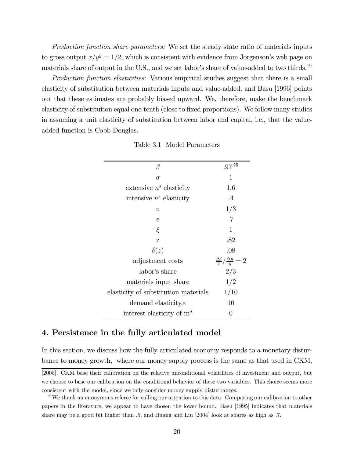Production function share parameters: We set the steady state ratio of materials inputs to gross output  $x/y^{g} = 1/2$ , which is consistent with evidence from Jorgenson's web page on materials share of output in the U.S., and we set labor's share of value-added to two thirds.<sup>19</sup>

Production function elasticities: Various empirical studies suggest that there is a small elasticity of substitution between materials inputs and value-added, and Basu [1996] points out that these estimates are probably biased upward. We, therefore, make the benchmark elasticity of substitution equal one-tenth (close to fixed proportions). We follow many studies in assuming a unit elasticity of substitution between labor and capital, i.e., that the valueadded function is Cobb-Douglas.

| β                                    | $.97^{.25}$                               |
|--------------------------------------|-------------------------------------------|
| $\sigma$                             | 1                                         |
| extensive $n^s$ elasticity           | 1.6                                       |
| intensive $n^s$ elasticity           | $\overline{A}$                            |
| $\mathbf n$                          | 1/3                                       |
| е                                    | .7                                        |
| ξ                                    | 1                                         |
| Z                                    | .82                                       |
| $\delta(z)$                          | .08                                       |
| adjustment costs                     | $\frac{\Delta i}{i}/\frac{\Delta y}{y}=2$ |
| labor's share                        | 2/3                                       |
| materials input share                | 1/2                                       |
| elasticity of substitution materials | 1/10                                      |
| demand elasticity, $\varepsilon$     | 10                                        |
| interest elasticity of $m^d$         | $\theta$                                  |

Table 3.1 Model Parameters

## 4. Persistence in the fully articulated model

In this section, we discuss how the fully articulated economy responds to a monetary disturbance to money growth, where our money supply process is the same as that used in CKM,

<sup>[2005].</sup> CKM base their calibration on the relative unconditional volatilities of investment and output, but we choose to base our calibration on the conditional behavior of these two variables. This choice seems more consistent with the model, since we only consider money supply disturbances.

 $19$ We thank an anonymous referee for calling our attention to this data. Comparing our calibration to other papers in the literature, we appear to have chosen the lower bound. Basu [1995] indicates that materials share may be a good bit higher than .5, and Huang and Liu [2004] look at shares as high as .7.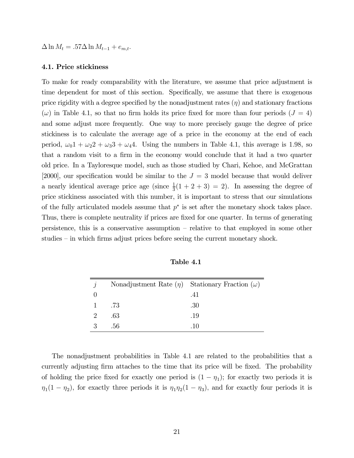$\Delta \ln M_t = .57 \Delta \ln M_{t-1} + e_{m,t}.$ 

#### 4.1. Price stickiness

To make for ready comparability with the literature, we assume that price adjustment is time dependent for most of this section. Specifically, we assume that there is exogenous price rigidity with a degree specified by the nonadjustment rates  $(\eta)$  and stationary fractions  $(\omega)$  in Table 4.1, so that no firm holds its price fixed for more than four periods  $(J = 4)$ and some adjust more frequently. One way to more precisely gauge the degree of price stickiness is to calculate the average age of a price in the economy at the end of each period,  $\omega_0 1 + \omega_2 2 + \omega_3 3 + \omega_4 4$ . Using the numbers in Table 4.1, this average is 1.98, so that a random visit to a firm in the economy would conclude that it had a two quarter old price. In a Tayloresque model, such as those studied by Chari, Kehoe, and McGrattan [2000], our specification would be similar to the  $J = 3$  model because that would deliver a nearly identical average price age (since  $\frac{1}{3}(1 + 2 + 3) = 2$ ). In assessing the degree of price stickiness associated with this number, it is important to stress that our simulations of the fully articulated models assume that  $p^*$  is set after the monetary shock takes place. Thus, there is complete neutrality if prices are fixed for one quarter. In terms of generating persistence, this is a conservative assumption — relative to that employed in some other studies — in which firms adjust prices before seeing the current monetary shock.

| $\gamma$                    | Nonadjustment Rate $(\eta)$ Stationary Fraction $(\omega)$ |     |
|-----------------------------|------------------------------------------------------------|-----|
|                             |                                                            | .41 |
| <sup>1</sup>                | .73                                                        | .30 |
| $\mathcal{D}_{\mathcal{L}}$ | .63                                                        | .19 |
|                             | .56                                                        | -10 |

Table 4.1

The nonadjustment probabilities in Table 4.1 are related to the probabilities that a currently adjusting firm attaches to the time that its price will be fixed. The probability of holding the price fixed for exactly one period is  $(1 - \eta_1)$ ; for exactly two periods it is  $\eta_1(1 - \eta_2)$ , for exactly three periods it is  $\eta_1 \eta_2(1 - \eta_3)$ , and for exactly four periods it is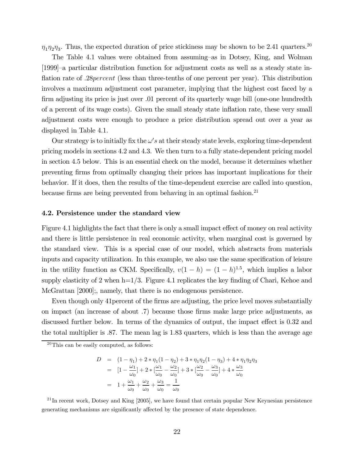$\eta_1\eta_2\eta_3$ . Thus, the expected duration of price stickiness may be shown to be 2.41 quarters.<sup>20</sup>

The Table 4.1 values were obtained from assuming—as in Dotsey, King, and Wolman [1999]—a particular distribution function for adjustment costs as well as a steady state inflation rate of .28 percent (less than three-tenths of one percent per year). This distribution involves a maximum adjustment cost parameter, implying that the highest cost faced by a firm adjusting its price is just over .01 percent of its quarterly wage bill (one-one hundredth of a percent of its wage costs). Given the small steady state inflation rate, these very small adjustment costs were enough to produce a price distribution spread out over a year as displayed in Table 4.1.

Our strategy is to initially fix the  $\omega's$  at their steady state levels, exploring time-dependent pricing models in sections 4.2 and 4.3. We then turn to a fully state-dependent pricing model in section 4.5 below. This is an essential check on the model, because it determines whether preventing firms from optimally changing their prices has important implications for their behavior. If it does, then the results of the time-dependent exercise are called into question, because firms are being prevented from behaving in an optimal fashion.<sup>21</sup>

#### 4.2. Persistence under the standard view

Figure 4.1 highlights the fact that there is only a small impact effect of money on real activity and there is little persistence in real economic activity, when marginal cost is governed by the standard view. This is a special case of our model, which abstracts from materials inputs and capacity utilization. In this example, we also use the same specification of leisure in the utility function as CKM. Specifically,  $v(1-h) = (1-h)^{1.5}$ , which implies a labor supply elasticity of 2 when  $h=1/3$ . Figure 4.1 replicates the key finding of Chari, Kehoe and McGrattan [2000]; namely, that there is no endogenous persistence.

Even though only 41percent of the firms are adjusting, the price level moves substantially on impact (an increase of about .7) because those firms make large price adjustments, as discussed further below. In terms of the dynamics of output, the impact effect is 0.32 and the total multiplier is .87. The mean lag is 1.83 quarters, which is less than the average age

$$
D = (1 - \eta_1) + 2 * \eta_1 (1 - \eta_2) + 3 * \eta_1 \eta_2 (1 - \eta_3) + 4 * \eta_1 \eta_2 \eta_3
$$
  
= 
$$
[1 - \frac{\omega_1}{\omega_0}] + 2 * [\frac{\omega_1}{\omega_0} - \frac{\omega_2}{\omega_0}] + 3 * [\frac{\omega_2}{\omega_0} - \frac{\omega_3}{\omega_0}] + 4 * \frac{\omega_3}{\omega_0}
$$
  
= 
$$
1 + \frac{\omega_1}{\omega_0} + \frac{\omega_2}{\omega_0} + \frac{\omega_3}{\omega_0} = \frac{1}{\omega_0}
$$

 $^{21}$ In recent work, Dotsey and King [2005], we have found that certain popular New Keynesian persistence generating mechanisms are significantly affected by the presence of state dependence.

 $20$ This can be easily computed, as follows: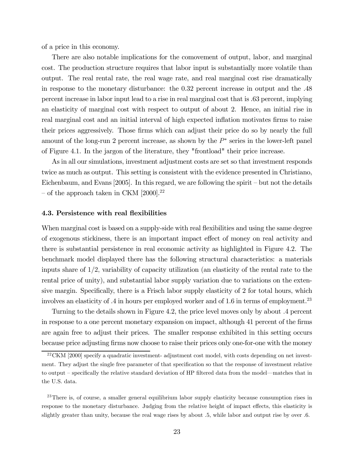of a price in this economy.

There are also notable implications for the comovement of output, labor, and marginal cost. The production structure requires that labor input is substantially more volatile than output. The real rental rate, the real wage rate, and real marginal cost rise dramatically in response to the monetary disturbance: the 0.32 percent increase in output and the .48 percent increase in labor input lead to a rise in real marginal cost that is .63 percent, implying an elasticity of marginal cost with respect to output of about 2. Hence, an initial rise in real marginal cost and an initial interval of high expected inflation motivates firms to raise their prices aggressively. Those firms which can adjust their price do so by nearly the full amount of the long-run 2 percent increase, as shown by the  $P^*$  series in the lower-left panel of Figure 4.1. In the jargon of the literature, they "frontload" their price increase.

As in all our simulations, investment adjustment costs are set so that investment responds twice as much as output. This setting is consistent with the evidence presented in Christiano, Eichenbaum, and Evans  $[2005]$ . In this regard, we are following the spirit – but not the details – of the approach taken in CKM  $[2000]$ .<sup>22</sup>

#### 4.3. Persistence with real flexibilities

When marginal cost is based on a supply-side with real flexibilities and using the same degree of exogenous stickiness, there is an important impact effect of money on real activity and there is substantial persistence in real economic activity as highlighted in Figure 4.2. The benchmark model displayed there has the following structural characteristics: a materials inputs share of  $1/2$ , variability of capacity utilization (an elasticity of the rental rate to the rental price of unity), and substantial labor supply variation due to variations on the extensive margin. Specifically, there is a Frisch labor supply elasticity of 2 for total hours, which involves an elasticity of  $.4$  in hours per employed worker and of 1.6 in terms of employment.<sup>23</sup>

Turning to the details shown in Figure 4.2, the price level moves only by about .4 percent in response to a one percent monetary expansion on impact, although 41 percent of the firms are again free to adjust their prices. The smaller response exhibited in this setting occurs because price adjusting firms now choose to raise their prices only one-for-one with the money

 $^{22}$ CKM [2000] specify a quadratic investment- adjustment cost model, with costs depending on net investment. They adjust the single free parameter of that specification so that the response of investment relative to output — specifically the relative standard deviation of HP filtered data from the model–matches that in the U.S. data.

<sup>&</sup>lt;sup>23</sup>There is, of course, a smaller general equilibrium labor supply elasticity because consumption rises in response to the monetary disturbance. Judging from the relative height of impact effects, this elasticity is slightly greater than unity, because the real wage rises by about .5, while labor and output rise by over .6.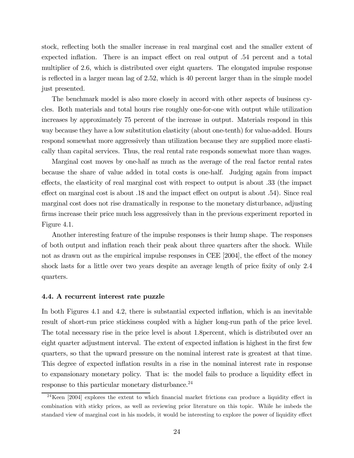stock, reflecting both the smaller increase in real marginal cost and the smaller extent of expected inflation. There is an impact effect on real output of .54 percent and a total multiplier of 2.6, which is distributed over eight quarters. The elongated impulse response is reflected in a larger mean lag of 2.52, which is 40 percent larger than in the simple model just presented.

The benchmark model is also more closely in accord with other aspects of business cycles. Both materials and total hours rise roughly one-for-one with output while utilization increases by approximately 75 percent of the increase in output. Materials respond in this way because they have a low substitution elasticity (about one-tenth) for value-added. Hours respond somewhat more aggressively than utilization because they are supplied more elastically than capital services. Thus, the real rental rate responds somewhat more than wages.

Marginal cost moves by one-half as much as the average of the real factor rental rates because the share of value added in total costs is one-half. Judging again from impact effects, the elasticity of real marginal cost with respect to output is about .33 (the impact effect on marginal cost is about .18 and the impact effect on output is about .54). Since real marginal cost does not rise dramatically in response to the monetary disturbance, adjusting firms increase their price much less aggressively than in the previous experiment reported in Figure 4.1.

Another interesting feature of the impulse responses is their hump shape. The responses of both output and inflation reach their peak about three quarters after the shock. While not as drawn out as the empirical impulse responses in CEE [2004], the effect of the money shock lasts for a little over two years despite an average length of price fixity of only 2.4 quarters.

#### 4.4. A recurrent interest rate puzzle

In both Figures 4.1 and 4.2, there is substantial expected inflation, which is an inevitable result of short-run price stickiness coupled with a higher long-run path of the price level. The total necessary rise in the price level is about 1.8percent, which is distributed over an eight quarter adjustment interval. The extent of expected inflation is highest in the first few quarters, so that the upward pressure on the nominal interest rate is greatest at that time. This degree of expected inflation results in a rise in the nominal interest rate in response to expansionary monetary policy. That is: the model fails to produce a liquidity effect in response to this particular monetary disturbance.<sup>24</sup>

<sup>24</sup>Keen [2004] explores the extent to which financial market frictions can produce a liquidity effect in combination with sticky prices, as well as reviewing prior literature on this topic. While he imbeds the standard view of marginal cost in his models, it would be interesting to explore the power of liquidity effect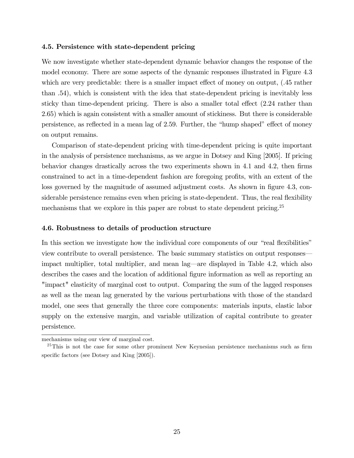#### 4.5. Persistence with state-dependent pricing

We now investigate whether state-dependent dynamic behavior changes the response of the model economy. There are some aspects of the dynamic responses illustrated in Figure 4.3 which are very predictable: there is a smaller impact effect of money on output, (.45 rather than .54), which is consistent with the idea that state-dependent pricing is inevitably less sticky than time-dependent pricing. There is also a smaller total effect (2.24 rather than 2.65) which is again consistent with a smaller amount of stickiness. But there is considerable persistence, as reflected in a mean lag of 2.59. Further, the "hump shaped" effect of money on output remains.

Comparison of state-dependent pricing with time-dependent pricing is quite important in the analysis of persistence mechanisms, as we argue in Dotsey and King [2005]. If pricing behavior changes drastically across the two experiments shown in 4.1 and 4.2, then firms constrained to act in a time-dependent fashion are foregoing profits, with an extent of the loss governed by the magnitude of assumed adjustment costs. As shown in figure 4.3, considerable persistence remains even when pricing is state-dependent. Thus, the real flexibility mechanisms that we explore in this paper are robust to state dependent pricing.<sup>25</sup>

#### 4.6. Robustness to details of production structure

In this section we investigate how the individual core components of our "real flexibilities" view contribute to overall persistence. The basic summary statistics on output responses– impact multiplier, total multiplier, and mean lag–are displayed in Table 4.2, which also describes the cases and the location of additional figure information as well as reporting an "impact" elasticity of marginal cost to output. Comparing the sum of the lagged responses as well as the mean lag generated by the various perturbations with those of the standard model, one sees that generally the three core components: materials inputs, elastic labor supply on the extensive margin, and variable utilization of capital contribute to greater persistence.

mechanisms using our view of marginal cost.

 $^{25}$ This is not the case for some other prominent New Keynesian persistence mechanisms such as firm specific factors (see Dotsey and King [2005]).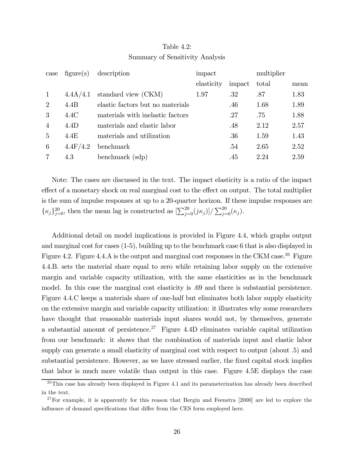| Table $4.2$ :                   |  |
|---------------------------------|--|
| Summary of Sensitivity Analysis |  |

| case           | figure(s) | description                      | impact     |        | multiplier |      |
|----------------|-----------|----------------------------------|------------|--------|------------|------|
|                |           |                                  | elasticity | impact | total      | mean |
|                | 4.4A/4.1  | standard view (CKM)              | 1.97       | .32    | .87        | 1.83 |
| 2              | 4.4B      | elastic factors but no materials |            | .46    | 1.68       | 1.89 |
| 3              | 4.4C      | materials with inelastic factors |            | .27    | .75        | 1.88 |
| $\overline{4}$ | 4.4D      | materials and elastic labor      |            | .48    | 2.12       | 2.57 |
| $\overline{5}$ | 4.4E      | materials and utilization        |            | .36    | 1.59       | 1.43 |
| 6              | 4.4F/4.2  | benchmark                        |            | .54    | 2.65       | 2.52 |
|                | 4.3       | benchmark (sdp)                  |            | .45    | 2.24       | 2.59 |

Note: The cases are discussed in the text. The impact elasticity is a ratio of the impact effect of a monetary shock on real marginal cost to the effect on output. The total multiplier is the sum of impulse responses at up to a 20-quarter horizon. If these impulse responses are  $\{\kappa_j\}_{j=0}^{20}$ , then the mean lag is constructed as  $\left[\sum_{j=0}^{20} (j\kappa_j)\right] / \sum_{j=0}^{20} (\kappa_j)$ .

Additional detail on model implications is provided in Figure 4.4, which graphs output and marginal cost for cases (1-5), building up to the benchmark case 6 that is also displayed in Figure 4.2. Figure 4.4.A is the output and marginal cost responses in the CKM case.26 Figure 4.4.B. sets the material share equal to zero while retaining labor supply on the extensive margin and variable capacity utilization, with the same elasticities as in the benchmark model. In this case the marginal cost elasticity is .69 and there is substantial persistence. Figure 4.4.C keeps a materials share of one-half but eliminates both labor supply elasticity on the extensive margin and variable capacity utilization: it illustrates why some researchers have thought that reasonable materials input shares would not, by themselves, generate a substantial amount of persistence.<sup>27</sup> Figure 4.4D eliminates variable capital utilization from our benchmark: it shows that the combination of materials input and elastic labor supply can generate a small elasticity of marginal cost with respect to output (about .5) and substantial persistence. However, as we have stressed earlier, the fixed capital stock implies that labor is much more volatile than output in this case. Figure 4.5E displays the case

 $26$ This case has already been displayed in Figure 4.1 and its parameterization has already been described in the text.

 $27$ For example, it is apparently for this reason that Bergin and Feenstra  $[2000]$  are led to explore the influence of demand specifications that differ from the CES form employed here.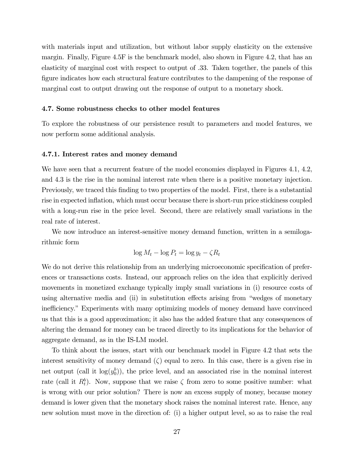with materials input and utilization, but without labor supply elasticity on the extensive margin. Finally, Figure 4.5F is the benchmark model, also shown in Figure 4.2, that has an elasticity of marginal cost with respect to output of .33. Taken together, the panels of this figure indicates how each structural feature contributes to the dampening of the response of marginal cost to output drawing out the response of output to a monetary shock.

#### 4.7. Some robustness checks to other model features

To explore the robustness of our persistence result to parameters and model features, we now perform some additional analysis.

#### 4.7.1. Interest rates and money demand

We have seen that a recurrent feature of the model economies displayed in Figures 4.1, 4.2, and 4.3 is the rise in the nominal interest rate when there is a positive monetary injection. Previously, we traced this finding to two properties of the model. First, there is a substantial rise in expected inflation, which must occur because there is short-run price stickiness coupled with a long-run rise in the price level. Second, there are relatively small variations in the real rate of interest.

We now introduce an interest-sensitive money demand function, written in a semilogarithmic form

$$
\log M_t - \log P_t = \log y_t - \zeta R_t
$$

We do not derive this relationship from an underlying microeconomic specification of preferences or transactions costs. Instead, our approach relies on the idea that explicitly derived movements in monetized exchange typically imply small variations in (i) resource costs of using alternative media and (ii) in substitution effects arising from "wedges of monetary inefficiency." Experiments with many optimizing models of money demand have convinced us that this is a good approximation; it also has the added feature that any consequences of altering the demand for money can be traced directly to its implications for the behavior of aggregate demand, as in the IS-LM model.

To think about the issues, start with our benchmark model in Figure 4.2 that sets the interest sensitivity of money demand  $(\zeta)$  equal to zero. In this case, there is a given rise in net output (call it  $log(y_0^b)$ ), the price level, and an associated rise in the nominal interest rate (call it  $R_t^b$ ). Now, suppose that we raise  $\zeta$  from zero to some positive number: what is wrong with our prior solution? There is now an excess supply of money, because money demand is lower given that the monetary shock raises the nominal interest rate. Hence, any new solution must move in the direction of: (i) a higher output level, so as to raise the real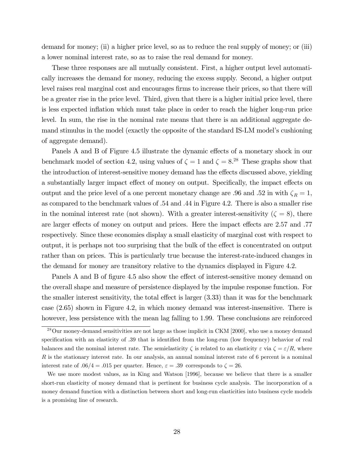demand for money; (ii) a higher price level, so as to reduce the real supply of money; or (iii) a lower nominal interest rate, so as to raise the real demand for money.

These three responses are all mutually consistent. First, a higher output level automatically increases the demand for money, reducing the excess supply. Second, a higher output level raises real marginal cost and encourages firms to increase their prices, so that there will be a greater rise in the price level. Third, given that there is a higher initial price level, there is less expected inflation which must take place in order to reach the higher long-run price level. In sum, the rise in the nominal rate means that there is an additional aggregate demand stimulus in the model (exactly the opposite of the standard IS-LM model's cushioning of aggregate demand).

Panels A and B of Figure 4.5 illustrate the dynamic effects of a monetary shock in our benchmark model of section 4.2, using values of  $\zeta = 1$  and  $\zeta = 8^{28}$  These graphs show that the introduction of interest-sensitive money demand has the effects discussed above, yielding a substantially larger impact effect of money on output. Specifically, the impact effects on output and the price level of a one percent monetary change are .96 and .52 in with  $\zeta_R = 1$ , as compared to the benchmark values of .54 and .44 in Figure 4.2. There is also a smaller rise in the nominal interest rate (not shown). With a greater interest-sensitivity ( $\zeta = 8$ ), there are larger effects of money on output and prices. Here the impact effects are 2.57 and .77 respectively. Since these economies display a small elasticity of marginal cost with respect to output, it is perhaps not too surprising that the bulk of the effect is concentrated on output rather than on prices. This is particularly true because the interest-rate-induced changes in the demand for money are transitory relative to the dynamics displayed in Figure 4.2.

Panels A and B of figure 4.5 also show the effect of interest-sensitive money demand on the overall shape and measure of persistence displayed by the impulse response function. For the smaller interest sensitivity, the total effect is larger (3.33) than it was for the benchmark case (2.65) shown in Figure 4.2, in which money demand was interest-insensitive. There is however, less persistence with the mean lag falling to 1.99. These conclusions are reinforced

 $28$ Our money-demand sensitivities are not large as those implicit in CKM [2000], who use a money demand specification with an elasticity of .39 that is identified from the long-run (low frequency) behavior of real balances and the nominal interest rate. The semielasticity  $\zeta$  is related to an elasticity  $\varepsilon$  via  $\zeta = \varepsilon/R$ , where R is the stationary interest rate. In our analysis, an annual nominal interest rate of 6 percent is a nominal interest rate of  $.06/4 = .015$  per quarter. Hence,  $\varepsilon = .39$  corresponds to  $\zeta = 26$ .

We use more modest values, as in King and Watson [1996], because we believe that there is a smaller short-run elasticity of money demand that is pertinent for business cycle analysis. The incorporation of a money demand function with a distinction between short and long-run elasticities into business cycle models is a promising line of research.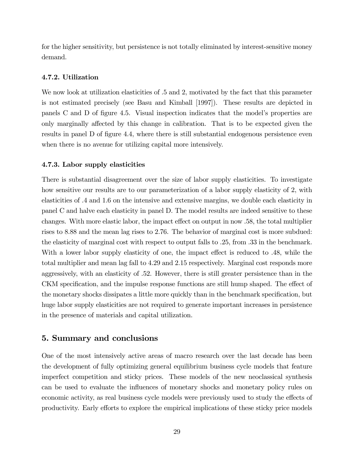for the higher sensitivity, but persistence is not totally eliminated by interest-sensitive money demand.

#### 4.7.2. Utilization

We now look at utilization elasticities of  $.5$  and  $2$ , motivated by the fact that this parameter is not estimated precisely (see Basu and Kimball [1997]). These results are depicted in panels C and D of figure 4.5. Visual inspection indicates that the model's properties are only marginally affected by this change in calibration. That is to be expected given the results in panel D of figure 4.4, where there is still substantial endogenous persistence even when there is no avenue for utilizing capital more intensively.

#### 4.7.3. Labor supply elasticities

There is substantial disagreement over the size of labor supply elasticities. To investigate how sensitive our results are to our parameterization of a labor supply elasticity of 2, with elasticities of .4 and 1.6 on the intensive and extensive margins, we double each elasticity in panel C and halve each elasticity in panel D. The model results are indeed sensitive to these changes. With more elastic labor, the impact effect on output in now .58, the total multiplier rises to 8.88 and the mean lag rises to 2.76. The behavior of marginal cost is more subdued: the elasticity of marginal cost with respect to output falls to .25, from .33 in the benchmark. With a lower labor supply elasticity of one, the impact effect is reduced to .48, while the total multiplier and mean lag fall to 4.29 and 2.15 respectively. Marginal cost responds more aggressively, with an elasticity of .52. However, there is still greater persistence than in the CKM specification, and the impulse response functions are still hump shaped. The effect of the monetary shocks dissipates a little more quickly than in the benchmark specification, but huge labor supply elasticities are not required to generate important increases in persistence in the presence of materials and capital utilization.

# 5. Summary and conclusions

One of the most intensively active areas of macro research over the last decade has been the development of fully optimizing general equilibrium business cycle models that feature imperfect competition and sticky prices. These models of the new neoclassical synthesis can be used to evaluate the influences of monetary shocks and monetary policy rules on economic activity, as real business cycle models were previously used to study the effects of productivity. Early efforts to explore the empirical implications of these sticky price models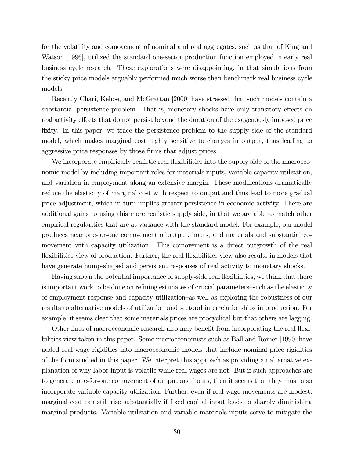for the volatility and comovement of nominal and real aggregates, such as that of King and Watson [1996], utilized the standard one-sector production function employed in early real business cycle research. These explorations were disappointing, in that simulations from the sticky price models arguably performed much worse than benchmark real business cycle models.

Recently Chari, Kehoe, and McGrattan [2000] have stressed that such models contain a substantial persistence problem. That is, monetary shocks have only transitory effects on real activity effects that do not persist beyond the duration of the exogenously imposed price fixity. In this paper, we trace the persistence problem to the supply side of the standard model, which makes marginal cost highly sensitive to changes in output, thus leading to aggressive price responses by those firms that adjust prices.

We incorporate empirically realistic real flexibilities into the supply side of the macroeconomic model by including important roles for materials inputs, variable capacity utilization, and variation in employment along an extensive margin. These modifications dramatically reduce the elasticity of marginal cost with respect to output and thus lead to more gradual price adjustment, which in turn implies greater persistence in economic activity. There are additional gains to using this more realistic supply side, in that we are able to match other empirical regularities that are at variance with the standard model. For example, our model produces near one-for-one comovement of output, hours, and materials and substantial comovement with capacity utilization. This comovement is a direct outgrowth of the real flexibilities view of production. Further, the real flexibilities view also results in models that have generate hump-shaped and persistent responses of real activity to monetary shocks.

Having shown the potential importance of supply-side real flexibilities, we think that there is important work to be done on refining estimates of crucial parameters—such as the elasticity of employment response and capacity utilization—as well as exploring the robustness of our results to alternative models of utilization and sectoral interrelationships in production. For example, it seems clear that some materials prices are procyclical but that others are lagging.

Other lines of macroeconomic research also may benefit from incorporating the real flexibilities view taken in this paper. Some macroeconomists such as Ball and Romer [1990] have added real wage rigidities into macroeconomic models that include nominal price rigidities of the form studied in this paper. We interpret this approach as providing an alternative explanation of why labor input is volatile while real wages are not. But if such approaches are to generate one-for-one comovement of output and hours, then it seems that they must also incorporate variable capacity utilization. Further, even if real wage movements are modest, marginal cost can still rise substantially if fixed capital input leads to sharply diminishing marginal products. Variable utilization and variable materials inputs serve to mitigate the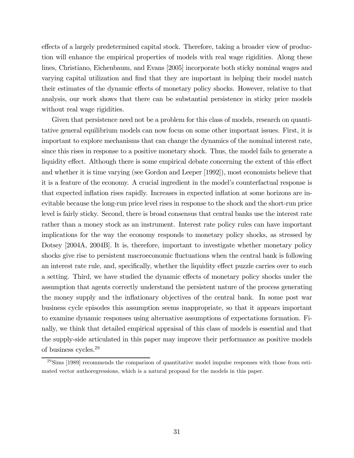effects of a largely predetermined capital stock. Therefore, taking a broader view of production will enhance the empirical properties of models with real wage rigidities. Along these lines, Christiano, Eichenbaum, and Evans [2005] incorporate both sticky nominal wages and varying capital utilization and find that they are important in helping their model match their estimates of the dynamic effects of monetary policy shocks. However, relative to that analysis, our work shows that there can be substantial persistence in sticky price models without real wage rigidities.

Given that persistence need not be a problem for this class of models, research on quantitative general equilibrium models can now focus on some other important issues. First, it is important to explore mechanisms that can change the dynamics of the nominal interest rate, since this rises in response to a positive monetary shock. Thus, the model fails to generate a liquidity effect. Although there is some empirical debate concerning the extent of this effect and whether it is time varying (see Gordon and Leeper [1992]), most economists believe that it is a feature of the economy. A crucial ingredient in the model's counterfactual response is that expected inflation rises rapidly. Increases in expected inflation at some horizons are inevitable because the long-run price level rises in response to the shock and the short-run price level is fairly sticky. Second, there is broad consensus that central banks use the interest rate rather than a money stock as an instrument. Interest rate policy rules can have important implications for the way the economy responds to monetary policy shocks, as stressed by Dotsey [2004A, 2004B]. It is, therefore, important to investigate whether monetary policy shocks give rise to persistent macroeconomic fluctuations when the central bank is following an interest rate rule, and, specifically, whether the liquidity effect puzzle carries over to such a setting. Third, we have studied the dynamic effects of monetary policy shocks under the assumption that agents correctly understand the persistent nature of the process generating the money supply and the inflationary objectives of the central bank. In some post war business cycle episodes this assumption seems inappropriate, so that it appears important to examine dynamic responses using alternative assumptions of expectations formation. Finally, we think that detailed empirical appraisal of this class of models is essential and that the supply-side articulated in this paper may improve their performance as positive models of business cycles.29

 $29\,\mathrm{Sims}$  [1989] recommends the comparison of quantitative model impulse responses with those from estimated vector authoregressions, which is a natural proposal for the models in this paper.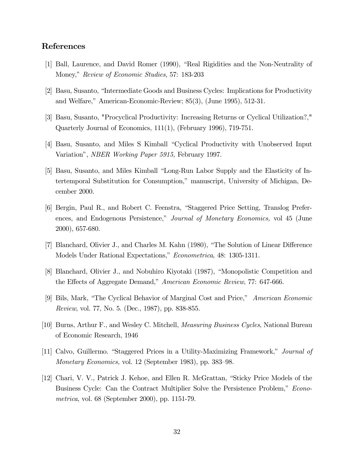# References

- [1] Ball, Laurence, and David Romer (1990), "Real Rigidities and the Non-Neutrality of Money," Review of Economic Studies, 57: 183-203
- [2] Basu, Susanto, "Intermediate Goods and Business Cycles: Implications for Productivity and Welfare," American-Economic-Review; 85(3), (June 1995), 512-31.
- [3] Basu, Susanto, "Procyclical Productivity: Increasing Returns or Cyclical Utilization?," Quarterly Journal of Economics, 111(1), (February 1996), 719-751.
- [4] Basu, Susanto, and Miles S Kimball "Cyclical Productivity with Unobserved Input Variation", NBER Working Paper 5915, February 1997.
- [5] Basu, Susanto, and Miles Kimball "Long-Run Labor Supply and the Elasticity of Intertemporal Substitution for Consumption," manuscript, University of Michigan, December 2000.
- [6] Bergin, Paul R., and Robert C. Feenstra, "Staggered Price Setting, Translog Preferences, and Endogenous Persistence," Journal of Monetary Economics, vol 45 (June 2000), 657-680.
- [7] Blanchard, Olivier J., and Charles M. Kahn (1980), "The Solution of Linear Difference Models Under Rational Expectations," Econometrica, 48: 1305-1311.
- [8] Blanchard, Olivier J., and Nobuhiro Kiyotaki (1987), "Monopolistic Competition and the Effects of Aggregate Demand," American Economic Review, 77: 647-666.
- [9] Bils, Mark, "The Cyclical Behavior of Marginal Cost and Price," American Economic Review, vol. 77, No. 5. (Dec., 1987), pp. 838-855.
- [10] Burns, Arthur F., and Wesley C. Mitchell, Measuring Business Cycles, National Bureau of Economic Research, 1946
- [11] Calvo, Guillermo. "Staggered Prices in a Utility-Maximizing Framework," Journal of Monetary Economics, vol. 12 (September 1983), pp. 383—98.
- [12] Chari, V. V., Patrick J. Kehoe, and Ellen R. McGrattan, "Sticky Price Models of the Business Cycle: Can the Contract Multiplier Solve the Persistence Problem," Econometrica, vol. 68 (September 2000), pp. 1151-79.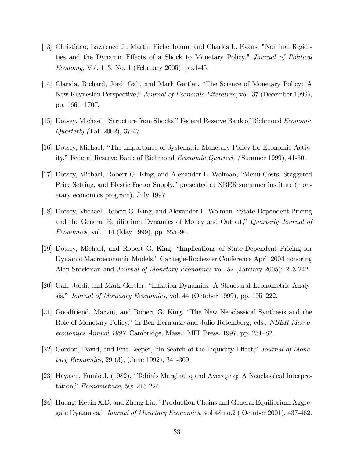- [13] Christiano, Lawrence J., Martin Eichenbaum, and Charles L. Evans, "Nominal Rigidities and the Dynamic Effects of a Shock to Monetary Policy," Journal of Political Economy, Vol. 113, No. 1 (February 2005), pp.1-45.
- [14] Clarida, Richard, Jordi Gali, and Mark Gertler. "The Science of Monetary Policy: A New Keynesian Perspective," *Journal of Economic Literature*, vol. 37 (December 1999), pp. 1661—1707.
- [15] Dotsey, Michael, "Structure from Shocks " Federal Reserve Bank of Richmond Economic Quarterly (Fall 2002), 37-47.
- [16] Dotsey, Michael, "The Importance of Systematic Monetary Policy for Economic Activity," Federal Reserve Bank of Richmond Economic Quarterl, ( Summer 1999), 41-60.
- [17] Dotsey, Michael, Robert G. King, and Alexander L. Wolman, "Menu Costs, Staggered Price Setting, and Elastic Factor Supply," presented at NBER summner institute (monetary economics program), July 1997.
- [18] Dotsey, Michael, Robert G. King, and Alexander L. Wolman. "State-Dependent Pricing and the General Equilibrium Dynamics of Money and Output," Quarterly Journal of Economics, vol. 114 (May 1999), pp. 655—90.
- [19] Dotsey, Michael, and Robert G. King, "Implications of State-Dependent Pricing for Dynamic Macroeconomic Models," Carnegie-Rochester Conference April 2004 honoring Alan Stockman and Journal of Monetary Economics vol. 52 (January 2005): 213-242.
- [20] Gali, Jordi, and Mark Gertler. "Inflation Dynamics: A Structural Econometric Analysis," Journal of Monetary Economics, vol. 44 (October 1999), pp. 195—222.
- [21] Goodfriend, Marvin, and Robert G. King. "The New Neoclassical Synthesis and the Role of Monetary Policy," in Ben Bernanke and Julio Rotemberg, eds., *NBER Macro*economics Annual 1997. Cambridge, Mass.: MIT Press, 1997, pp. 231—82.
- [22] Gordon, David, and Eric Leeper, "In Search of the Liquidity Effect," Journal of Monetary Economics, 29 (3), (June 1992), 341-369.
- [23] Hayashi, Fumio J. (1982), "Tobin's Marginal q and Average q: A Neoclassical Interpretation," Econometrica, 50: 215-224.
- [24] Huang, Kevin X.D. and Zheng Liu, "Production Chains and General Equilibrium Aggregate Dynamics," Journal of Monetary Economics, vol 48 no.2 ( October 2001), 437-462.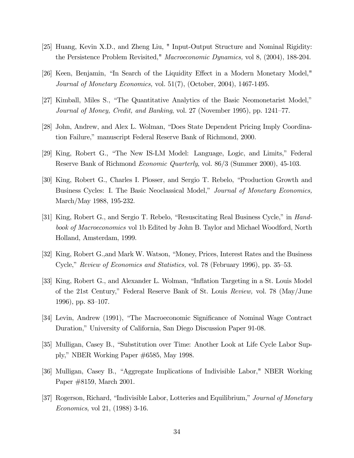- [25] Huang, Kevin X.D., and Zheng Liu, " Input-Output Structure and Nominal Rigidity: the Persistence Problem Revisited," Macroeconomic Dynamics, vol 8, (2004), 188-204.
- [26] Keen, Benjamin, "In Search of the Liquidity Effect in a Modern Monetary Model," Journal of Monetary Economics, vol. 51(7), (October, 2004), 1467-1495.
- [27] Kimball, Miles S., "The Quantitative Analytics of the Basic Neomonetarist Model," Journal of Money, Credit, and Banking, vol. 27 (November 1995), pp. 1241—77.
- [28] John, Andrew, and Alex L. Wolman, "Does State Dependent Pricing Imply Coordination Failure," manuscript Federal Reserve Bank of Richmond, 2000.
- [29] King, Robert G., "The New IS-LM Model: Language, Logic, and Limits," Federal Reserve Bank of Richmond Economic Quarterly, vol. 86/3 (Summer 2000), 45-103.
- [30] King, Robert G., Charles I. Plosser, and Sergio T. Rebelo, "Production Growth and Business Cycles: I. The Basic Neoclassical Model," Journal of Monetary Economics, March/May 1988, 195-232.
- [31] King, Robert G., and Sergio T. Rebelo, "Resuscitating Real Business Cycle," in Handbook of Macroeconomics vol 1b Edited by John B. Taylor and Michael Woodford, North Holland, Amsterdam, 1999.
- [32] King, Robert G.,and Mark W. Watson, "Money, Prices, Interest Rates and the Business Cycle," Review of Economics and Statistics, vol. 78 (February 1996), pp. 35—53.
- [33] King, Robert G., and Alexander L. Wolman, "Inflation Targeting in a St. Louis Model of the 21st Century," Federal Reserve Bank of St. Louis Review, vol. 78 (May/June 1996), pp. 83—107.
- [34] Levin, Andrew (1991), "The Macroeconomic Significance of Nominal Wage Contract Duration," University of California, San Diego Discussion Paper 91-08.
- [35] Mulligan, Casey B., "Substitution over Time: Another Look at Life Cycle Labor Supply," NBER Working Paper #6585, May 1998.
- [36] Mulligan, Casey B., "Aggregate Implications of Indivisible Labor," NBER Working Paper #8159, March 2001.
- [37] Rogerson, Richard, "Indivisible Labor, Lotteries and Equilibrium," Journal of Monetary Economics, vol 21, (1988) 3-16.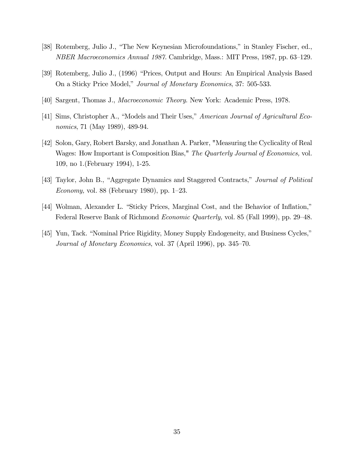- [38] Rotemberg, Julio J., "The New Keynesian Microfoundations," in Stanley Fischer, ed., NBER Macroeconomics Annual 1987. Cambridge, Mass.: MIT Press, 1987, pp. 63—129.
- [39] Rotemberg, Julio J., (1996) "Prices, Output and Hours: An Empirical Analysis Based On a Sticky Price Model," Journal of Monetary Economics, 37: 505-533.
- [40] Sargent, Thomas J., Macroeconomic Theory. New York: Academic Press, 1978.
- [41] Sims, Christopher A., "Models and Their Uses," American Journal of Agricultural Economics, 71 (May 1989), 489-94.
- [42] Solon, Gary, Robert Barsky, and Jonathan A. Parker, "Measuring the Cyclicality of Real Wages: How Important is Composition Bias," The Quarterly Journal of Economics, vol. 109, no 1.(February 1994), 1-25.
- [43] Taylor, John B., "Aggregate Dynamics and Staggered Contracts," Journal of Political Economy, vol. 88 (February 1980), pp. 1—23.
- [44] Wolman, Alexander L. "Sticky Prices, Marginal Cost, and the Behavior of Inflation," Federal Reserve Bank of Richmond *Economic Quarterly*, vol. 85 (Fall 1999), pp. 29–48.
- [45] Yun, Tack. "Nominal Price Rigidity, Money Supply Endogeneity, and Business Cycles," Journal of Monetary Economics, vol. 37 (April 1996), pp. 345—70.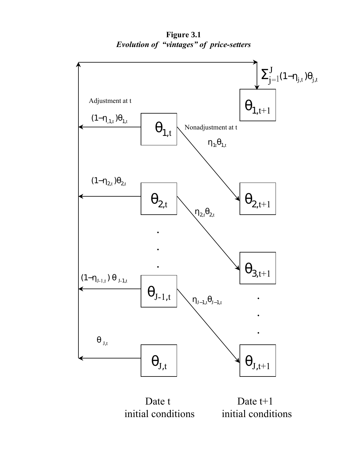**Figure 3.1**  *Evolution of "vintages" of price-setters* 



Date t initial conditions

Date t+1 initial conditions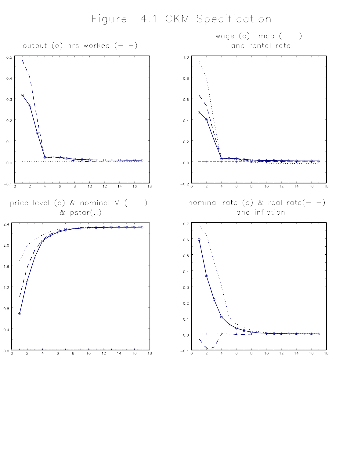# Figure 4.1 CKM Specification

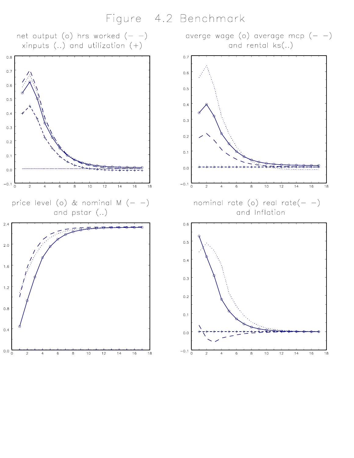Figure 4.2 Benchmark

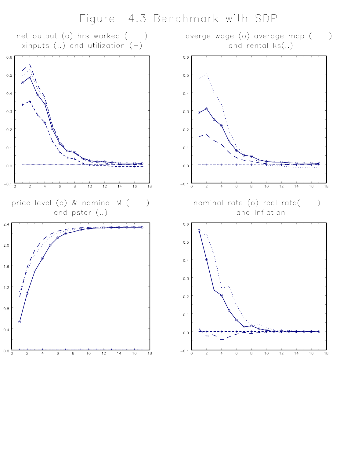Figure 4.3 Benchmark with SDP

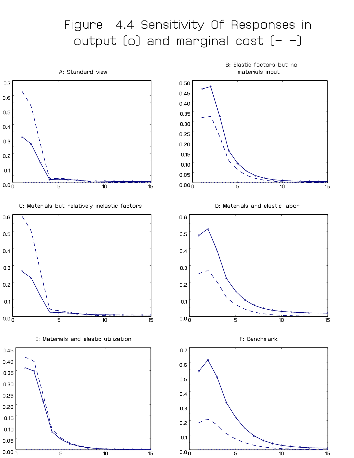# Figure 4.4 Sensitivity Of Responses in output [o] and marginal cost [- -]